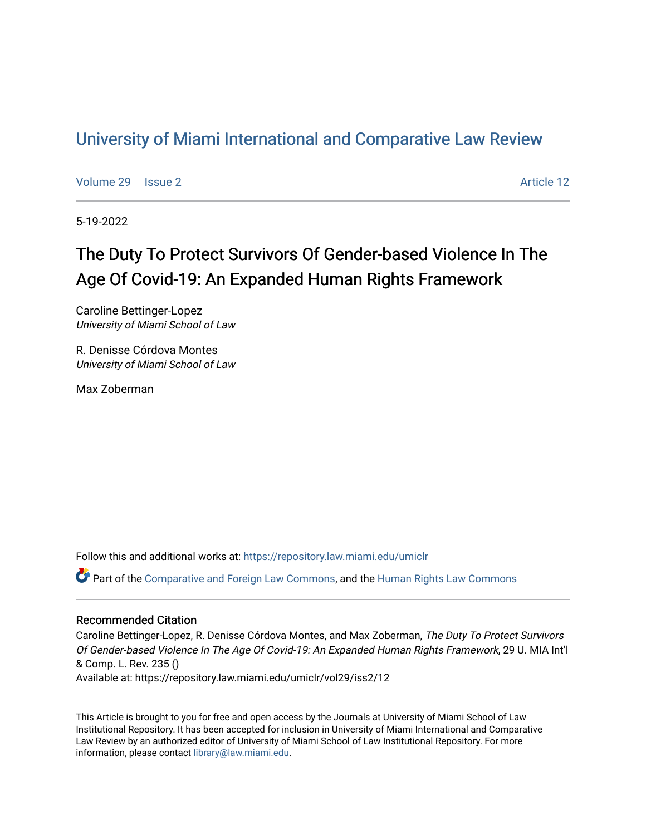## [University of Miami International and Comparative Law Review](https://repository.law.miami.edu/umiclr)

[Volume 29](https://repository.law.miami.edu/umiclr/vol29) | [Issue 2](https://repository.law.miami.edu/umiclr/vol29/iss2) Article 12

5-19-2022

# The Duty To Protect Survivors Of Gender-based Violence In The Age Of Covid-19: An Expanded Human Rights Framework

Caroline Bettinger-Lopez University of Miami School of Law

R. Denisse Córdova Montes University of Miami School of Law

Max Zoberman

Follow this and additional works at: [https://repository.law.miami.edu/umiclr](https://repository.law.miami.edu/umiclr?utm_source=repository.law.miami.edu%2Fumiclr%2Fvol29%2Fiss2%2F12&utm_medium=PDF&utm_campaign=PDFCoverPages)

Part of the [Comparative and Foreign Law Commons,](https://network.bepress.com/hgg/discipline/836?utm_source=repository.law.miami.edu%2Fumiclr%2Fvol29%2Fiss2%2F12&utm_medium=PDF&utm_campaign=PDFCoverPages) and the [Human Rights Law Commons](https://network.bepress.com/hgg/discipline/847?utm_source=repository.law.miami.edu%2Fumiclr%2Fvol29%2Fiss2%2F12&utm_medium=PDF&utm_campaign=PDFCoverPages)

## Recommended Citation

Caroline Bettinger-Lopez, R. Denisse Córdova Montes, and Max Zoberman, The Duty To Protect Survivors Of Gender-based Violence In The Age Of Covid-19: An Expanded Human Rights Framework, 29 U. MIA Int'l & Comp. L. Rev. 235 () Available at: https://repository.law.miami.edu/umiclr/vol29/iss2/12

This Article is brought to you for free and open access by the Journals at University of Miami School of Law Institutional Repository. It has been accepted for inclusion in University of Miami International and Comparative Law Review by an authorized editor of University of Miami School of Law Institutional Repository. For more information, please contact [library@law.miami.edu](mailto:library@law.miami.edu).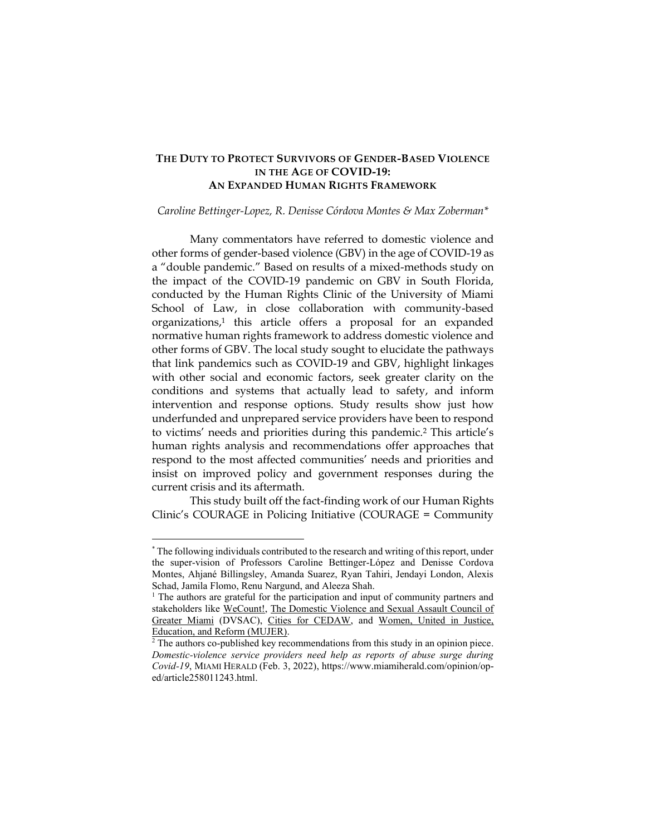## **THE DUTY TO PROTECT SURVIVORS OF GENDER-BASED VIOLENCE IN THE AGE OF COVID-19: AN EXPANDED HUMAN RIGHTS FRAMEWORK**

#### *Caroline Bettinger-Lopez, R. Denisse Córdova Montes & Max Zoberman\**

Many commentators have referred to domestic violence and other forms of gender-based violence (GBV) in the age of COVID-19 as a "double pandemic." Based on results of a mixed-methods study on the impact of the COVID-19 pandemic on GBV in South Florida, conducted by the Human Rights Clinic of the University of Miami School of Law, in close collaboration with community-based organizations, <sup>1</sup> this article offers a proposal for an expanded normative human rights framework to address domestic violence and other forms of GBV. The local study sought to elucidate the pathways that link pandemics such as COVID-19 and GBV, highlight linkages with other social and economic factors, seek greater clarity on the conditions and systems that actually lead to safety, and inform intervention and response options. Study results show just how underfunded and unprepared service providers have been to respond to victims' needs and priorities during this pandemic.<sup>2</sup> This article's human rights analysis and recommendations offer approaches that respond to the most affected communities' needs and priorities and insist on improved policy and government responses during the current crisis and its aftermath.

This study built off the fact-finding work of our Human Rights Clinic's COURAGE in Policing Initiative (COURAGE = Community

<sup>\*</sup> The following individuals contributed to the research and writing of this report, under the super-vision of Professors Caroline Bettinger-López and Denisse Cordova Montes, Ahjané Billingsley, Amanda Suarez, Ryan Tahiri, Jendayi London, Alexis Schad, Jamila Flomo, Renu Nargund, and Aleeza Shah.

<sup>&</sup>lt;sup>1</sup> The authors are grateful for the participation and input of community partners and stakeholders like [WeCount!,](https://www.we-count.org/) [The Domestic Violence and Sexual Assault Council of](https://www.dvsacac.org/)  [Greater Miami](https://www.dvsacac.org/) (DVSAC), [Cities for CEDAW,](http://citiesforcedaw.org/about-cedaw/) and [Women, United in Justice,](http://mujerfla.org/)  [Education, and Reform \(MUJER\).](http://mujerfla.org/)

<sup>&</sup>lt;sup>2</sup> The authors co-published key recommendations from this study in an opinion piece. *Domestic-violence service providers need help as reports of abuse surge during Covid-19*, MIAMI HERALD (Feb. 3, 2022), https://www.miamiherald.com/opinion/oped/article258011243.html.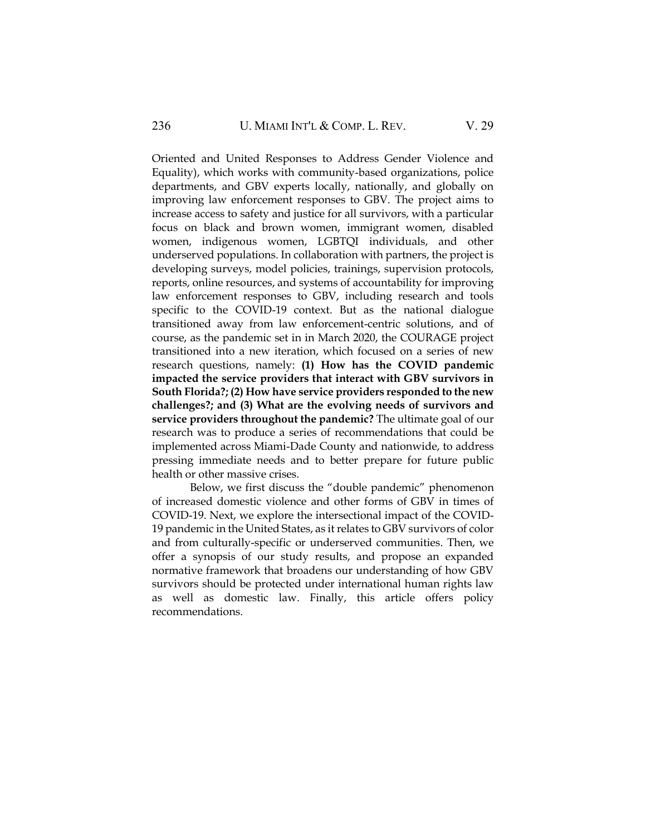Oriented and United Responses to Address Gender Violence and Equality), which works with community-based organizations, police departments, and GBV experts locally, nationally, and globally on improving law enforcement responses to GBV. The project aims to increase access to safety and justice for all survivors, with a particular focus on black and brown women, immigrant women, disabled women, indigenous women, LGBTQI individuals, and other underserved populations. In collaboration with partners, the project is developing surveys, model policies, trainings, supervision protocols, reports, online resources, and systems of accountability for improving law enforcement responses to GBV, including research and tools specific to the COVID-19 context. But as the national dialogue transitioned away from law enforcement-centric solutions, and of course, as the pandemic set in in March 2020, the COURAGE project transitioned into a new iteration, which focused on a series of new research questions, namely: **(1) How has the COVID pandemic impacted the service providers that interact with GBV survivors in South Florida?; (2) How have service providers responded to the new challenges?; and (3) What are the evolving needs of survivors and service providers throughout the pandemic?** The ultimate goal of our research was to produce a series of recommendations that could be implemented across Miami-Dade County and nationwide, to address pressing immediate needs and to better prepare for future public health or other massive crises.

Below, we first discuss the "double pandemic" phenomenon of increased domestic violence and other forms of GBV in times of COVID-19. Next, we explore the intersectional impact of the COVID-19 pandemic in the United States, as it relates to GBV survivors of color and from culturally-specific or underserved communities. Then, we offer a synopsis of our study results, and propose an expanded normative framework that broadens our understanding of how GBV survivors should be protected under international human rights law as well as domestic law. Finally, this article offers policy recommendations.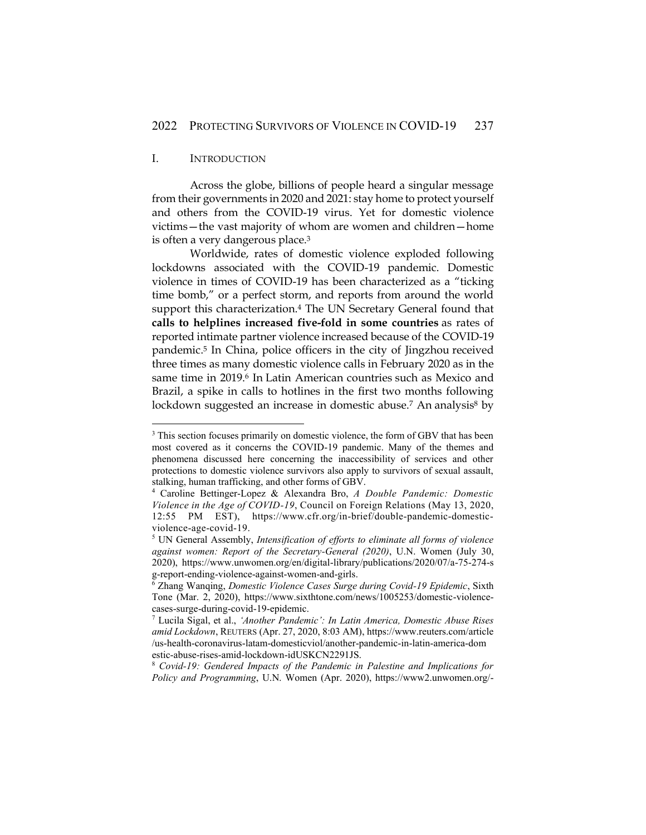## I. INTRODUCTION

Across the globe, billions of people heard a singular message from their governments in 2020 and 2021: stay home to protect yourself and others from the COVID-19 virus. Yet for domestic violence victims—the vast majority of whom are women and children—home is often a very dangerous place.<sup>3</sup>

Worldwide, rates of domestic violence exploded following lockdowns associated with the COVID-19 pandemic. Domestic violence in times of COVID-19 has been characterized as a "ticking time bomb," or a perfect storm, and reports from around the world support this characterization.<sup>4</sup> The UN Secretary General found that **calls to helplines increased five-fold in some countries** as rates of reported intimate partner violence increased because of the COVID-19 pandemic. <sup>5</sup> In China, police officers in the city of Jingzhou received three times as many domestic violence calls in February 2020 as in the same time in 2019.<sup>6</sup> In Latin American countries such as Mexico and Brazil, a spike in calls to hotlines in the first two months following lockdown suggested an increase in domestic abuse.<sup>7</sup> An analysis<sup>8</sup> by

<sup>8</sup> *Covid-19: Gendered Impacts of the Pandemic in Palestine and Implications for Policy and Programming*, U.N. Women (Apr. 2020), https://www2.unwomen.org/-

<sup>&</sup>lt;sup>3</sup> This section focuses primarily on domestic violence, the form of GBV that has been most covered as it concerns the COVID-19 pandemic. Many of the themes and phenomena discussed here concerning the inaccessibility of services and other protections to domestic violence survivors also apply to survivors of sexual assault, stalking, human trafficking, and other forms of GBV.

<sup>4</sup> Caroline Bettinger-Lopez & Alexandra Bro, *A Double Pandemic: Domestic Violence in the Age of COVID-19*, Council on Foreign Relations (May 13, 2020, 12:55 PM EST), https://www.cfr.org/in-brief/double-pandemic-domesticviolence-age-covid-19.

<sup>5</sup> UN General Assembly, *Intensification of efforts to eliminate all forms of violence against women: Report of the Secretary-General (2020)*, U.N. Women (July 30, 2020), https://www.unwomen.org/en/digital-library/publications/2020/07/a-75-274-s g-report-ending-violence-against-women-and-girls.

<sup>6</sup> Zhang Wanqing, *Domestic Violence Cases Surge during Covid-19 Epidemic*, Sixth Tone (Mar. 2, 2020), https://www.sixthtone.com/news/1005253/domestic-violencecases-surge-during-covid-19-epidemic.

<sup>7</sup> Lucila Sigal, et al., *'Another Pandemic': In Latin America, Domestic Abuse Rises amid Lockdown*, REUTERS (Apr. 27, 2020, 8:03 AM), https://www.reuters.com/article /us-health-coronavirus-latam-domesticviol/another-pandemic-in-latin-america-dom estic-abuse-rises-amid-lockdown-idUSKCN2291JS.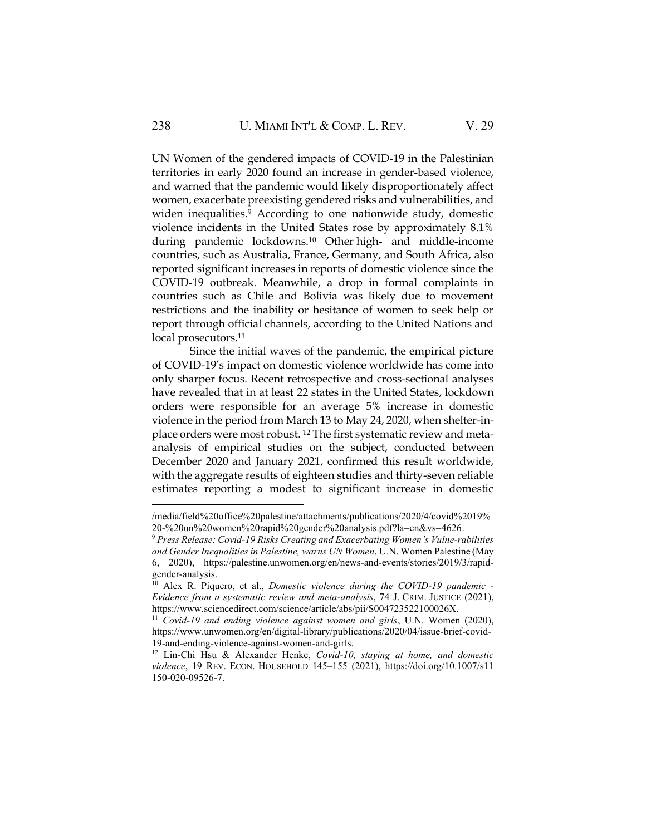UN Women of the gendered impacts of COVID-19 in the Palestinian territories in early 2020 found an increase in gender-based violence, and warned that the pandemic would likely disproportionately affect women, exacerbate preexisting gendered risks and vulnerabilities, and widen inequalities.<sup>9</sup> According to one nationwide study, domestic violence incidents in the United States rose by approximately 8.1% during pandemic lockdowns.<sup>10</sup> Other high- and middle-income countries, such as Australia, France, Germany, and South Africa, also reported significant increases in reports of domestic violence since the COVID-19 outbreak. Meanwhile, a drop in formal complaints in countries such as Chile and Bolivia was likely due to movement restrictions and the inability or hesitance of women to seek help or report through official channels, according to the United Nations and local prosecutors.<sup>11</sup>

Since the initial waves of the pandemic, the empirical picture of COVID-19's impact on domestic violence worldwide has come into only sharper focus. Recent retrospective and cross-sectional analyses have revealed that in at least 22 states in the United States, lockdown orders were responsible for an average 5% increase in domestic violence in the period from March 13 to May 24, 2020, when shelter-inplace orders were most robust. <sup>12</sup> The first systematic review and metaanalysis of empirical studies on the subject, conducted between December 2020 and January 2021, confirmed this result worldwide, with the aggregate results of eighteen studies and thirty-seven reliable estimates reporting a modest to significant increase in domestic

<sup>/</sup>media/field%20office%20palestine/attachments/publications/2020/4/covid%2019% 20-%20un%20women%20rapid%20gender%20analysis.pdf?la=en&vs=4626.

<sup>9</sup> *Press Release: Covid-19 Risks Creating and Exacerbating Women's Vulne-rabilities and Gender Inequalities in Palestine, warns UN Women*, U.N. Women Palestine (May 6, 2020), https://palestine.unwomen.org/en/news-and-events/stories/2019/3/rapidgender-analysis.

<sup>10</sup> Alex R. Piquero, et al., *Domestic violence during the COVID-19 pandemic - Evidence from a systematic review and meta-analysis*, 74 J. CRIM. JUSTICE (2021), https://www.sciencedirect.com/science/article/abs/pii/S004723522100026X.

<sup>11</sup> *Covid-19 and ending violence against women and girls*, U.N. Women (2020), https://www.unwomen.org/en/digital-library/publications/2020/04/issue-brief-covid-19-and-ending-violence-against-women-and-girls.

<sup>12</sup> Lin-Chi Hsu & Alexander Henke, *Covid-10, staying at home, and domestic violence*, 19 REV. ECON. HOUSEHOLD 145–155 (2021), https://doi.org/10.1007/s11 150-020-09526-7.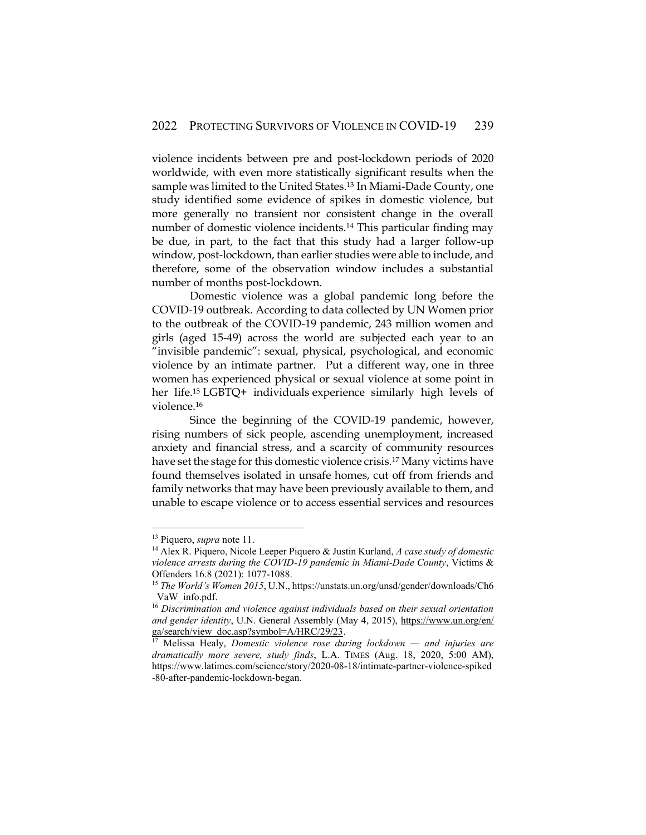violence incidents between pre and post-lockdown periods of 2020 worldwide, with even more statistically significant results when the sample was limited to the United States.<sup>13</sup> In Miami-Dade County, one study identified some evidence of spikes in domestic violence, but more generally no transient nor consistent change in the overall number of domestic violence incidents.<sup>14</sup> This particular finding may be due, in part, to the fact that this study had a larger follow-up window, post-lockdown, than earlier studies were able to include, and therefore, some of the observation window includes a substantial number of months post-lockdown.

Domestic violence was a global pandemic long before the COVID-19 outbreak. According to data collected by UN Women prior to the outbreak of the COVID-19 pandemic, 243 million women and girls (aged 15-49) across the world are subjected each year to an "invisible pandemic": sexual, physical, psychological, and economic violence by an intimate partner. Put a different way, one in three women has experienced physical or sexual violence at some point in her life.<sup>15</sup> LGBTQ+ individuals experience similarly high levels of violence.<sup>16</sup>

Since the beginning of the COVID-19 pandemic, however, rising numbers of sick people, ascending unemployment, increased anxiety and financial stress, and a scarcity of community resources have set the stage for this domestic violence crisis.<sup>17</sup> Many victims have found themselves isolated in unsafe homes, cut off from friends and family networks that may have been previously available to them, and unable to escape violence or to access essential services and resources

<sup>13</sup> Piquero, *supra* note 11.

<sup>14</sup> Alex R. Piquero, Nicole Leeper Piquero & Justin Kurland, *A case study of domestic violence arrests during the COVID-19 pandemic in Miami-Dade County*, Victims & Offenders 16.8 (2021): 1077-1088.

<sup>15</sup> *The World's Women 2015*, U.N., https://unstats.un.org/unsd/gender/downloads/Ch6 \_VaW\_info.pdf.

<sup>16</sup> *Discrimination and violence against individuals based on their sexual orientation and gender identity*, U.N. General Assembly (May 4, 2015), [https://www.un.org/en/](https://www.un.org/en/ga/search/view_doc.asp?symbol=A/HRC/29/23) [ga/search/view\\_doc.asp?symbol=A/HRC/29/23.](https://www.un.org/en/ga/search/view_doc.asp?symbol=A/HRC/29/23)

<sup>17</sup> Melissa Healy, *Domestic violence rose during lockdown — and injuries are dramatically more severe, study finds*, L.A. TIMES (Aug. 18, 2020, 5:00 AM), https://www.latimes.com/science/story/2020-08-18/intimate-partner-violence-spiked -80-after-pandemic-lockdown-began.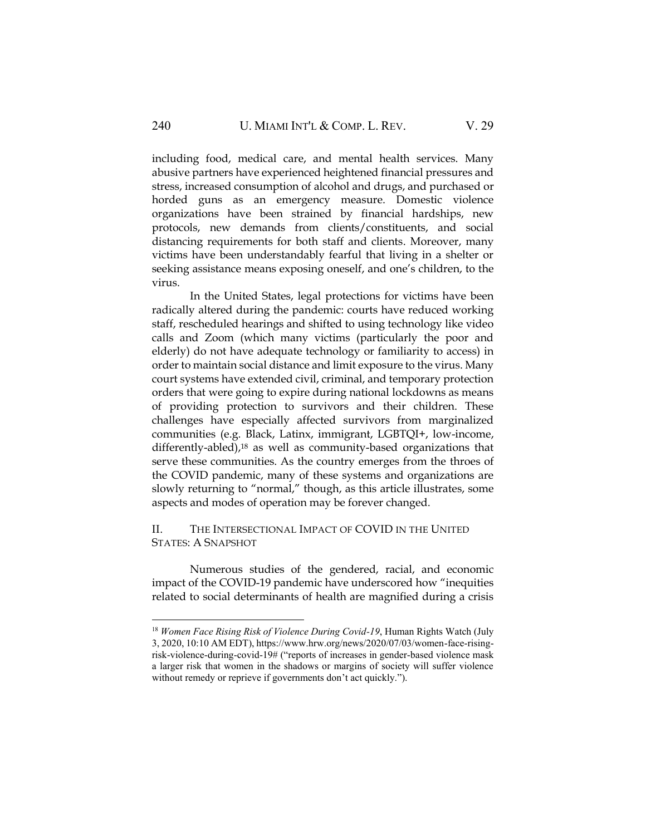including food, medical care, and mental health services. Many abusive partners have experienced heightened financial pressures and stress, increased consumption of alcohol and drugs, and purchased or horded guns as an emergency measure. Domestic violence organizations have been strained by financial hardships, new protocols, new demands from clients/constituents, and social distancing requirements for both staff and clients. Moreover, many victims have been understandably fearful that living in a shelter or seeking assistance means exposing oneself, and one's children, to the virus.

In the United States, legal protections for victims have been radically altered during the pandemic: courts have reduced working staff, rescheduled hearings and shifted to using technology like video calls and Zoom (which many victims (particularly the poor and elderly) do not have adequate technology or familiarity to access) in order to maintain social distance and limit exposure to the virus. Many court systems have extended civil, criminal, and temporary protection orders that were going to expire during national lockdowns as means of providing protection to survivors and their children. These challenges have especially affected survivors from marginalized communities (e.g. Black, Latinx, immigrant, LGBTQI+, low-income, differently-abled),<sup>18</sup> as well as community-based organizations that serve these communities. As the country emerges from the throes of the COVID pandemic, many of these systems and organizations are slowly returning to "normal," though, as this article illustrates, some aspects and modes of operation may be forever changed.

## II. THE INTERSECTIONAL IMPACT OF COVID IN THE UNITED STATES: A SNAPSHOT

Numerous studies of the gendered, racial, and economic impact of the COVID-19 pandemic have underscored how "inequities related to social determinants of health are magnified during a crisis

<sup>18</sup> *Women Face Rising Risk of Violence During Covid-19*, Human Rights Watch (July 3, 2020, 10:10 AM EDT), https://www.hrw.org/news/2020/07/03/women-face-risingrisk-violence-during-covid-19# ("reports of increases in gender-based violence mask a larger risk that women in the shadows or margins of society will suffer violence without remedy or reprieve if governments don't act quickly.").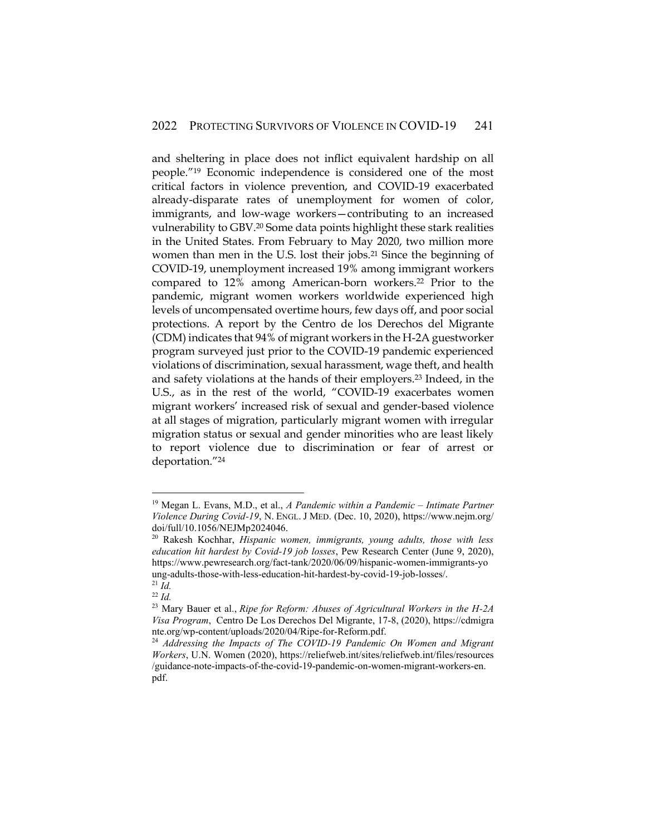and sheltering in place does not inflict equivalent hardship on all people."<sup>19</sup> Economic independence is considered one of the most critical factors in violence prevention, and COVID-19 exacerbated already-disparate rates of unemployment for women of color, immigrants, and low-wage workers—contributing to an increased vulnerability to GBV.<sup>20</sup> Some data points highlight these stark realities in the United States. From February to May 2020, two million more women than men in the U.S. lost their jobs.<sup>21</sup> Since the beginning of COVID-19, unemployment increased 19% among immigrant workers compared to 12% among American-born workers.<sup>22</sup> Prior to the pandemic, migrant women workers worldwide experienced high levels of uncompensated overtime hours, few days off, and poor social protections. A report by the Centro de los Derechos del Migrante (CDM) indicates that 94% of migrant workers in the H-2A guestworker program surveyed just prior to the COVID-19 pandemic experienced violations of discrimination, sexual harassment, wage theft, and health and safety violations at the hands of their employers.<sup>23</sup> Indeed, in the U.S., as in the rest of the world, "COVID-19 exacerbates women migrant workers' increased risk of sexual and gender-based violence at all stages of migration, particularly migrant women with irregular migration status or sexual and gender minorities who are least likely to report violence due to discrimination or fear of arrest or deportation."<sup>24</sup>

<sup>19</sup> Megan L. Evans, M.D., et al., *A Pandemic within a Pandemic – Intimate Partner Violence During Covid-19*, N. ENGL. J MED. (Dec. 10, 2020), https://www.nejm.org/ doi/full/10.1056/NEJMp2024046.

<sup>20</sup> Rakesh Kochhar, *Hispanic women, immigrants, young adults, those with less education hit hardest by Covid-19 job losses*, Pew Research Center (June 9, 2020), https://www.pewresearch.org/fact-tank/2020/06/09/hispanic-women-immigrants-yo ung-adults-those-with-less-education-hit-hardest-by-covid-19-job-losses/.  $^{21}$  *Id.* 

<sup>22</sup> *Id.*

<sup>23</sup> Mary Bauer et al., *Ripe for Reform: Abuses of Agricultural Workers in the H-2A Visa Program*, Centro De Los Derechos Del Migrante, 17-8, (2020), https://cdmigra nte.org/wp-content/uploads/2020/04/Ripe-for-Reform.pdf.

<sup>24</sup> *Addressing the Impacts of The COVID-19 Pandemic On Women and Migrant Workers*, U.N. Women (2020), https://reliefweb.int/sites/reliefweb.int/files/resources /guidance-note-impacts-of-the-covid-19-pandemic-on-women-migrant-workers-en. pdf.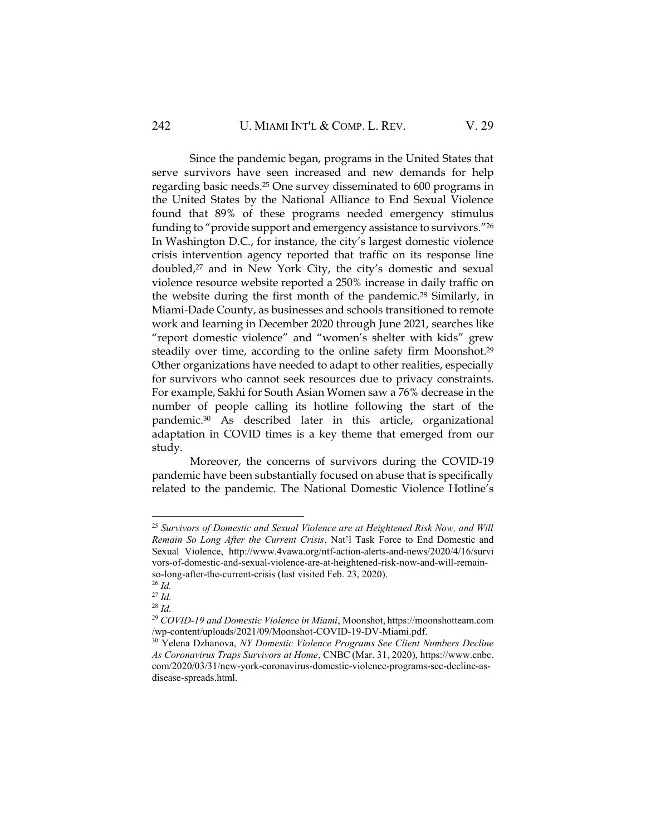Since the pandemic began, programs in the United States that serve survivors have seen increased and new demands for help regarding basic needs.<sup>25</sup> One survey disseminated to 600 programs in the United States by the National Alliance to End Sexual Violence found that 89% of these programs needed emergency stimulus funding to "provide support and emergency assistance to survivors."<sup>26</sup> In Washington D.C., for instance, the city's largest domestic violence crisis intervention agency reported that traffic on its response line doubled,<sup>27</sup> and in New York City, the city's domestic and sexual violence resource website reported a 250% increase in daily traffic on the website during the first month of the pandemic.<sup>28</sup> Similarly, in Miami-Dade County, as businesses and schools transitioned to remote work and learning in December 2020 through June 2021, searches like "report domestic violence" and "women's shelter with kids" grew steadily over time, according to the online safety firm Moonshot.<sup>29</sup> Other organizations have needed to adapt to other realities, especially for survivors who cannot seek resources due to privacy constraints. For example, Sakhi for South Asian Women saw a 76% decrease in the number of people calling its hotline following the start of the pandemic.<sup>30</sup> As described later in this article, organizational adaptation in COVID times is a key theme that emerged from our study.

Moreover, the concerns of survivors during the COVID-19 pandemic have been substantially focused on abuse that is specifically related to the pandemic. The National Domestic Violence Hotline's

<sup>25</sup> *Survivors of Domestic and Sexual Violence are at Heightened Risk Now, and Will Remain So Long After the Current Crisis*, Nat'l Task Force to End Domestic and Sexual Violence, http://www.4vawa.org/ntf-action-alerts-and-news/2020/4/16/survi vors-of-domestic-and-sexual-violence-are-at-heightened-risk-now-and-will-remainso-long-after-the-current-crisis (last visited Feb. 23, 2020).

<sup>26</sup> *Id.*

<sup>27</sup> *Id.*

<sup>28</sup> *Id.*

<sup>29</sup> *COVID-19 and Domestic Violence in Miami*, Moonshot, https://moonshotteam.com /wp-content/uploads/2021/09/Moonshot-COVID-19-DV-Miami.pdf.

<sup>30</sup> Yelena Dzhanova, *NY Domestic Violence Programs See Client Numbers Decline As Coronavirus Traps Survivors at Home*, CNBC (Mar. 31, 2020), https://www.cnbc. com/2020/03/31/new-york-coronavirus-domestic-violence-programs-see-decline-asdisease-spreads.html.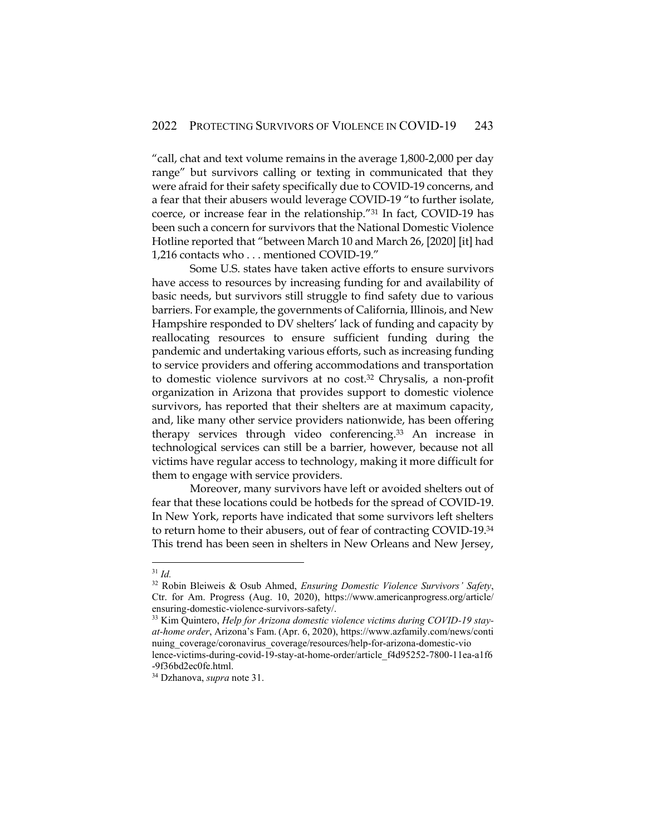"call, chat and text volume remains in the average 1,800-2,000 per day range" but survivors calling or texting in communicated that they were afraid for their safety specifically due to COVID-19 concerns, and a fear that their abusers would leverage COVID-19 "to further isolate, coerce, or increase fear in the relationship."<sup>31</sup> In fact, COVID-19 has been such a concern for survivors that the National Domestic Violence Hotline reported that "between March 10 and March 26, [2020] [it] had 1,216 contacts who . . . mentioned COVID-19."

Some U.S. states have taken active efforts to ensure survivors have access to resources by increasing funding for and availability of basic needs, but survivors still struggle to find safety due to various barriers. For example, the governments of California, Illinois, and New Hampshire responded to DV shelters' lack of funding and capacity by reallocating resources to ensure sufficient funding during the pandemic and undertaking various efforts, such as increasing funding to service providers and offering accommodations and transportation to domestic violence survivors at no cost.<sup>32</sup> Chrysalis, a non-profit organization in Arizona that provides support to domestic violence survivors, has reported that their shelters are at maximum capacity, and, like many other service providers nationwide, has been offering therapy services through video conferencing.<sup>33</sup> An increase in technological services can still be a barrier, however, because not all victims have regular access to technology, making it more difficult for them to engage with service providers.

Moreover, many survivors have left or avoided shelters out of fear that these locations could be hotbeds for the spread of COVID-19. In New York, reports have indicated that some survivors left shelters to return home to their abusers, out of fear of contracting COVID-19.<sup>34</sup> This trend has been seen in shelters in New Orleans and New Jersey,

<sup>31</sup> *Id.*

<sup>32</sup> Robin Bleiweis & Osub Ahmed, *Ensuring Domestic Violence Survivors' Safety*, Ctr. for Am. Progress (Aug. 10, 2020), https://www.americanprogress.org/article/ ensuring-domestic-violence-survivors-safety/.

<sup>33</sup> Kim Quintero, *Help for Arizona domestic violence victims during COVID-19 stayat-home order*, Arizona's Fam. (Apr. 6, 2020), https://www.azfamily.com/news/conti nuing\_coverage/coronavirus\_coverage/resources/help-for-arizona-domestic-vio lence-victims-during-covid-19-stay-at-home-order/article\_f4d95252-7800-11ea-a1f6

<sup>-9</sup>f36bd2ec0fe.html.

<sup>34</sup> Dzhanova, *supra* note 31.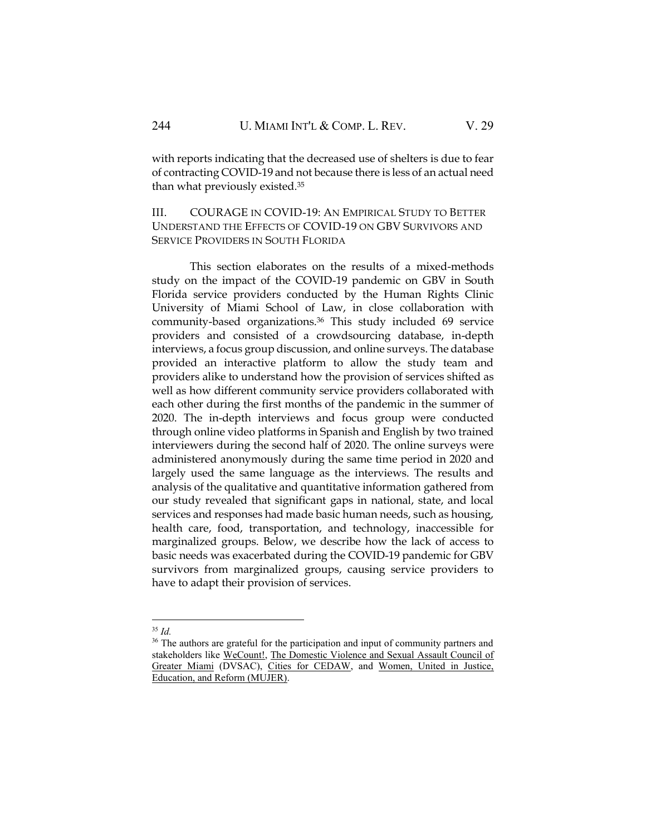with reports indicating that the decreased use of shelters is due to fear of contracting COVID-19 and not because there is less of an actual need than what previously existed.<sup>35</sup>

III. COURAGE IN COVID-19: AN EMPIRICAL STUDY TO BETTER UNDERSTAND THE EFFECTS OF COVID-19 ON GBV SURVIVORS AND SERVICE PROVIDERS IN SOUTH FLORIDA

This section elaborates on the results of a mixed-methods study on the impact of the COVID-19 pandemic on GBV in South Florida service providers conducted by the Human Rights Clinic University of Miami School of Law, in close collaboration with community-based organizations.<sup>36</sup> This study included 69 service providers and consisted of a crowdsourcing database, in-depth interviews, a focus group discussion, and online surveys. The database provided an interactive platform to allow the study team and providers alike to understand how the provision of services shifted as well as how different community service providers collaborated with each other during the first months of the pandemic in the summer of 2020. The in-depth interviews and focus group were conducted through online video platforms in Spanish and English by two trained interviewers during the second half of 2020. The online surveys were administered anonymously during the same time period in 2020 and largely used the same language as the interviews. The results and analysis of the qualitative and quantitative information gathered from our study revealed that significant gaps in national, state, and local services and responses had made basic human needs, such as housing, health care, food, transportation, and technology, inaccessible for marginalized groups. Below, we describe how the lack of access to basic needs was exacerbated during the COVID-19 pandemic for GBV survivors from marginalized groups, causing service providers to have to adapt their provision of services.

<sup>35</sup> *Id.*

<sup>&</sup>lt;sup>36</sup> The authors are grateful for the participation and input of community partners and stakeholders like [WeCount!,](https://www.we-count.org/) The Domestic Violence and Sexual Assault Council of [Greater Miami](https://www.dvsacac.org/) (DVSAC), [Cities for CEDAW,](http://citiesforcedaw.org/about-cedaw/) and [Women, United in Justice,](http://mujerfla.org/)  [Education, and Reform \(MUJER\).](http://mujerfla.org/)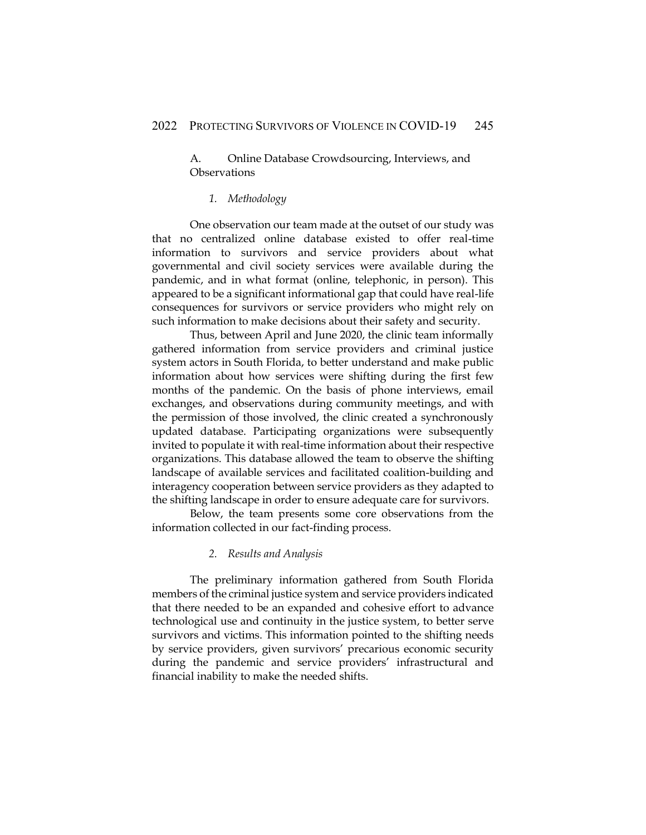A. Online Database Crowdsourcing, Interviews, and **Observations** 

## *1. Methodology*

One observation our team made at the outset of our study was that no centralized online database existed to offer real-time information to survivors and service providers about what governmental and civil society services were available during the pandemic, and in what format (online, telephonic, in person). This appeared to be a significant informational gap that could have real-life consequences for survivors or service providers who might rely on such information to make decisions about their safety and security.

Thus, between April and June 2020, the clinic team informally gathered information from service providers and criminal justice system actors in South Florida, to better understand and make public information about how services were shifting during the first few months of the pandemic. On the basis of phone interviews, email exchanges, and observations during community meetings, and with the permission of those involved, the clinic created a synchronously updated database. Participating organizations were subsequently invited to populate it with real-time information about their respective organizations. This database allowed the team to observe the shifting landscape of available services and facilitated coalition-building and interagency cooperation between service providers as they adapted to the shifting landscape in order to ensure adequate care for survivors.

Below, the team presents some core observations from the information collected in our fact-finding process.

## *2. Results and Analysis*

The preliminary information gathered from South Florida members of the criminal justice system and service providers indicated that there needed to be an expanded and cohesive effort to advance technological use and continuity in the justice system, to better serve survivors and victims. This information pointed to the shifting needs by service providers, given survivors' precarious economic security during the pandemic and service providers' infrastructural and financial inability to make the needed shifts.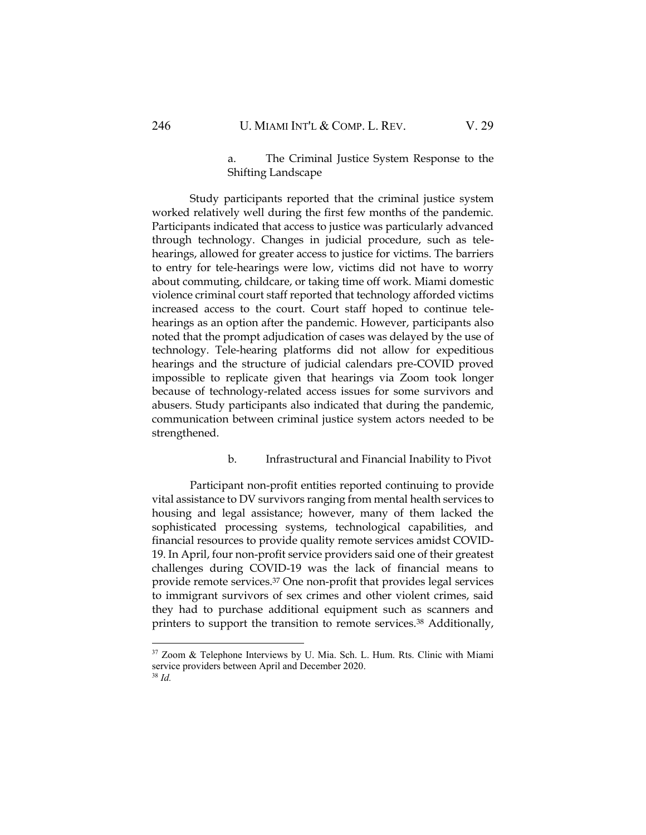## a. The Criminal Justice System Response to the Shifting Landscape

Study participants reported that the criminal justice system worked relatively well during the first few months of the pandemic. Participants indicated that access to justice was particularly advanced through technology. Changes in judicial procedure, such as telehearings, allowed for greater access to justice for victims. The barriers to entry for tele-hearings were low, victims did not have to worry about commuting, childcare, or taking time off work. Miami domestic violence criminal court staff reported that technology afforded victims increased access to the court. Court staff hoped to continue telehearings as an option after the pandemic. However, participants also noted that the prompt adjudication of cases was delayed by the use of technology. Tele-hearing platforms did not allow for expeditious hearings and the structure of judicial calendars pre-COVID proved impossible to replicate given that hearings via Zoom took longer because of technology-related access issues for some survivors and abusers. Study participants also indicated that during the pandemic, communication between criminal justice system actors needed to be strengthened.

## b. Infrastructural and Financial Inability to Pivot

Participant non-profit entities reported continuing to provide vital assistance to DV survivors ranging from mental health services to housing and legal assistance; however, many of them lacked the sophisticated processing systems, technological capabilities, and financial resources to provide quality remote services amidst COVID-19. In April, four non-profit service providers said one of their greatest challenges during COVID-19 was the lack of financial means to provide remote services.<sup>37</sup> One non-profit that provides legal services to immigrant survivors of sex crimes and other violent crimes, said they had to purchase additional equipment such as scanners and printers to support the transition to remote services.<sup>38</sup> Additionally,

<sup>&</sup>lt;sup>37</sup> Zoom & Telephone Interviews by U. Mia. Sch. L. Hum. Rts. Clinic with Miami service providers between April and December 2020. <sup>38</sup> *Id.*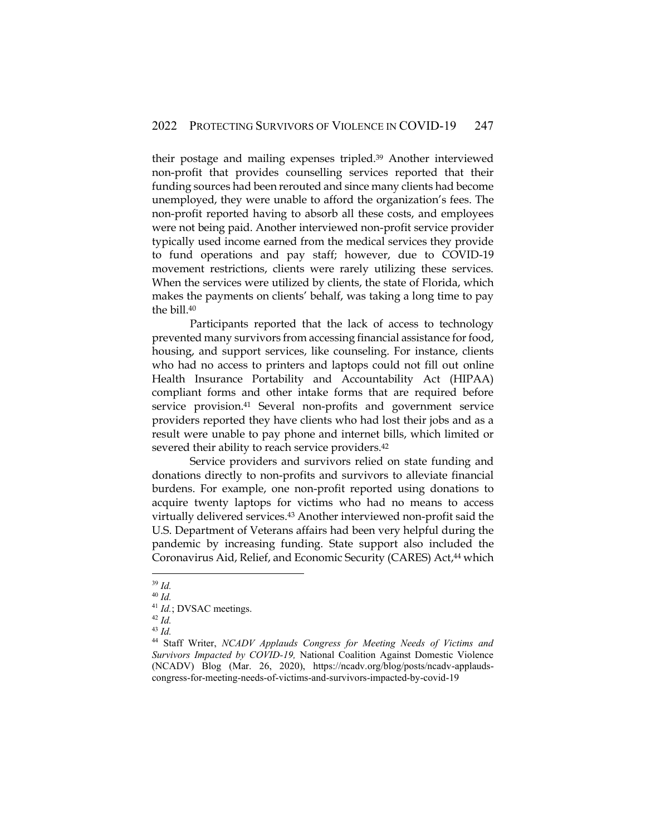their postage and mailing expenses tripled.<sup>39</sup> Another interviewed non-profit that provides counselling services reported that their funding sources had been rerouted and since many clients had become unemployed, they were unable to afford the organization's fees. The non-profit reported having to absorb all these costs, and employees were not being paid. Another interviewed non-profit service provider typically used income earned from the medical services they provide to fund operations and pay staff; however, due to COVID-19 movement restrictions, clients were rarely utilizing these services. When the services were utilized by clients, the state of Florida, which makes the payments on clients' behalf, was taking a long time to pay the bill.<sup>40</sup>

Participants reported that the lack of access to technology prevented many survivors from accessing financial assistance for food, housing, and support services, like counseling. For instance, clients who had no access to printers and laptops could not fill out online Health Insurance Portability and Accountability Act (HIPAA) compliant forms and other intake forms that are required before service provision. <sup>41</sup> Several non-profits and government service providers reported they have clients who had lost their jobs and as a result were unable to pay phone and internet bills, which limited or severed their ability to reach service providers.<sup>42</sup>

Service providers and survivors relied on state funding and donations directly to non-profits and survivors to alleviate financial burdens. For example, one non-profit reported using donations to acquire twenty laptops for victims who had no means to access virtually delivered services.<sup>43</sup> Another interviewed non-profit said the U.S. Department of Veterans affairs had been very helpful during the pandemic by increasing funding. State support also included the Coronavirus Aid, Relief, and Economic Security (CARES) Act, <sup>44</sup> which

<sup>39</sup> *Id.*

<sup>40</sup> *Id.*

<sup>&</sup>lt;sup>41</sup> *Id.*; DVSAC meetings.

<sup>42</sup> *Id.*

<sup>43</sup> *Id.*

<sup>44</sup> Staff Writer, *NCADV Applauds Congress for Meeting Needs of Victims and Survivors Impacted by COVID-19,* National Coalition Against Domestic Violence (NCADV) Blog (Mar. 26, 2020), https://ncadv.org/blog/posts/ncadv-applaudscongress-for-meeting-needs-of-victims-and-survivors-impacted-by-covid-19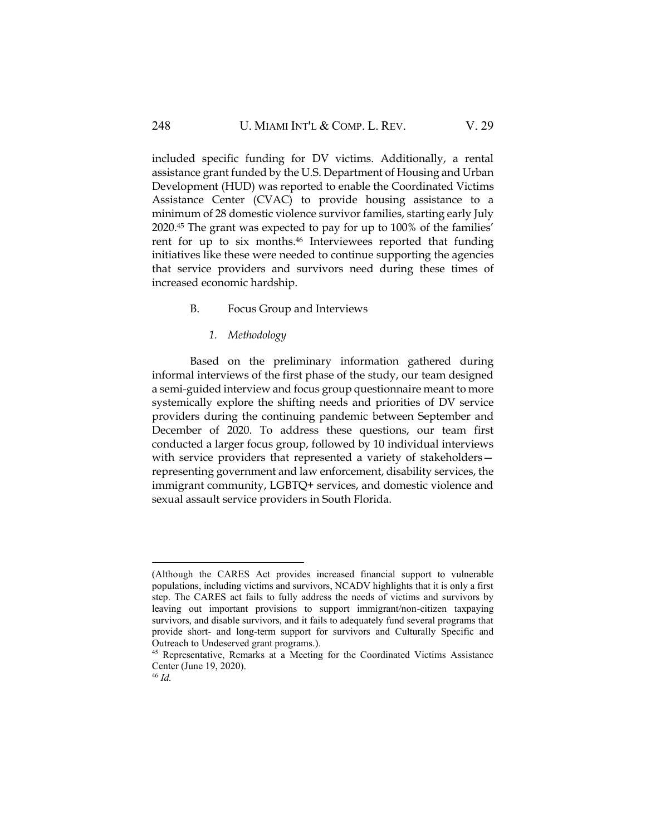included specific funding for DV victims. Additionally, a rental assistance grant funded by the U.S. Department of Housing and Urban Development (HUD) was reported to enable the Coordinated Victims Assistance Center (CVAC) to provide housing assistance to a minimum of 28 domestic violence survivor families, starting early July 2020. <sup>45</sup> The grant was expected to pay for up to 100% of the families' rent for up to six months.<sup>46</sup> Interviewees reported that funding initiatives like these were needed to continue supporting the agencies that service providers and survivors need during these times of increased economic hardship.

## B. Focus Group and Interviews

#### *1. Methodology*

Based on the preliminary information gathered during informal interviews of the first phase of the study, our team designed a semi-guided interview and focus group questionnaire meant to more systemically explore the shifting needs and priorities of DV service providers during the continuing pandemic between September and December of 2020. To address these questions, our team first conducted a larger focus group, followed by 10 individual interviews with service providers that represented a variety of stakeholders representing government and law enforcement, disability services, the immigrant community, LGBTQ+ services, and domestic violence and sexual assault service providers in South Florida.

<sup>(</sup>Although the CARES Act provides increased financial support to vulnerable populations, including victims and survivors, NCADV highlights that it is only a first step. The CARES act fails to fully address the needs of victims and survivors by leaving out important provisions to support immigrant/non-citizen taxpaying survivors, and disable survivors, and it fails to adequately fund several programs that provide short- and long-term support for survivors and Culturally Specific and Outreach to Undeserved grant programs.).

<sup>&</sup>lt;sup>45</sup> Representative, Remarks at a Meeting for the Coordinated Victims Assistance Center (June 19, 2020).

<sup>46</sup> *Id.*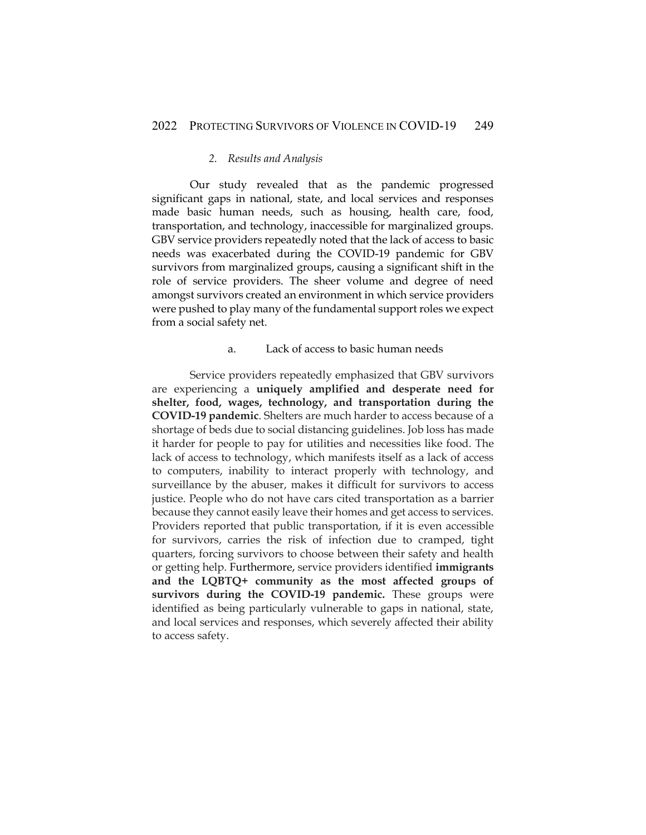#### *2. Results and Analysis*

Our study revealed that as the pandemic progressed significant gaps in national, state, and local services and responses made basic human needs, such as housing, health care, food, transportation, and technology, inaccessible for marginalized groups. GBV service providers repeatedly noted that the lack of access to basic needs was exacerbated during the COVID-19 pandemic for GBV survivors from marginalized groups, causing a significant shift in the role of service providers. The sheer volume and degree of need amongst survivors created an environment in which service providers were pushed to play many of the fundamental support roles we expect from a social safety net.

## a. Lack of access to basic human needs

Service providers repeatedly emphasized that GBV survivors are experiencing a **uniquely amplified and desperate need for shelter, food, wages, technology, and transportation during the COVID-19 pandemic**. Shelters are much harder to access because of a shortage of beds due to social distancing guidelines. Job loss has made it harder for people to pay for utilities and necessities like food. The lack of access to technology, which manifests itself as a lack of access to computers, inability to interact properly with technology, and surveillance by the abuser, makes it difficult for survivors to access justice. People who do not have cars cited transportation as a barrier because they cannot easily leave their homes and get access to services. Providers reported that public transportation, if it is even accessible for survivors, carries the risk of infection due to cramped, tight quarters, forcing survivors to choose between their safety and health or getting help. Furthermore, service providers identified **immigrants and the LQBTQ+ community as the most affected groups of survivors during the COVID-19 pandemic.** These groups were identified as being particularly vulnerable to gaps in national, state, and local services and responses, which severely affected their ability to access safety.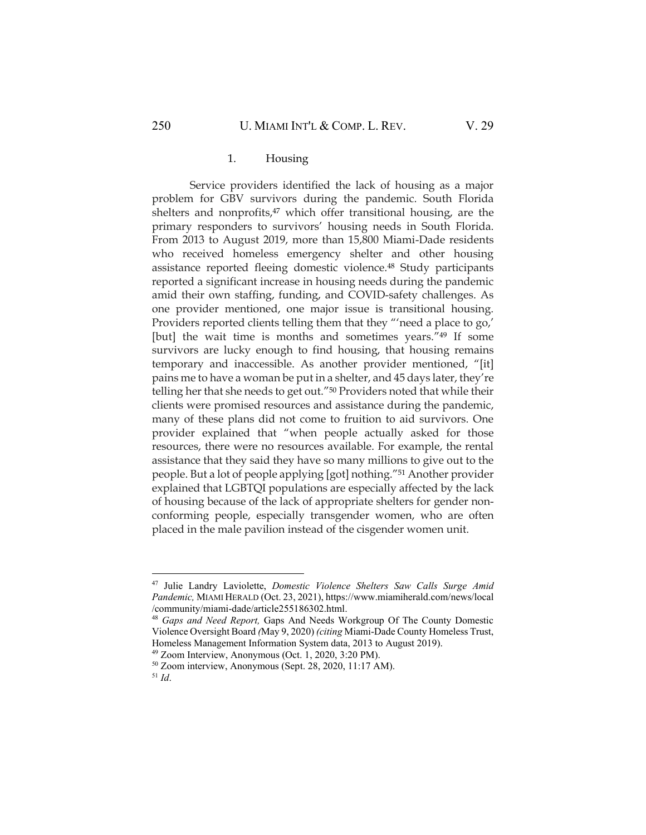#### 1. Housing

Service providers identified the lack of housing as a major problem for GBV survivors during the pandemic. South Florida shelters and nonprofits,<sup>47</sup> which offer transitional housing, are the primary responders to survivors' housing needs in South Florida. From 2013 to August 2019, more than 15,800 Miami-Dade residents who received homeless emergency shelter and other housing assistance reported fleeing domestic violence.<sup>48</sup> Study participants reported a significant increase in housing needs during the pandemic amid their own staffing, funding, and COVID-safety challenges. As one provider mentioned, one major issue is transitional housing. Providers reported clients telling them that they "'need a place to go,' [but] the wait time is months and sometimes years."<sup>49</sup> If some survivors are lucky enough to find housing, that housing remains temporary and inaccessible. As another provider mentioned, "[it] pains me to have a woman be put in a shelter, and 45 days later, they're telling her that she needs to get out."<sup>50</sup> Providers noted that while their clients were promised resources and assistance during the pandemic, many of these plans did not come to fruition to aid survivors. One provider explained that "when people actually asked for those resources, there were no resources available. For example, the rental assistance that they said they have so many millions to give out to the people. But a lot of people applying [got] nothing."<sup>51</sup> Another provider explained that LGBTQI populations are especially affected by the lack of housing because of the lack of appropriate shelters for gender nonconforming people, especially transgender women, who are often placed in the male pavilion instead of the cisgender women unit.

<sup>47</sup> Julie Landry Laviolette, *Domestic Violence Shelters Saw Calls Surge Amid Pandemic,* MIAMI HERALD (Oct. 23, 2021), https://www.miamiherald.com/news/local /community/miami-dade/article255186302.html.

<sup>48</sup> *Gaps and Need Report,* Gaps And Needs Workgroup Of The County Domestic Violence Oversight Board *(*May 9, 2020) *(citing* Miami-Dade County Homeless Trust, Homeless Management Information System data, 2013 to August 2019).

<sup>49</sup> Zoom Interview, Anonymous (Oct. 1, 2020, 3:20 PM).

<sup>50</sup> Zoom interview, Anonymous (Sept. 28, 2020, 11:17 AM).

<sup>51</sup> *Id*.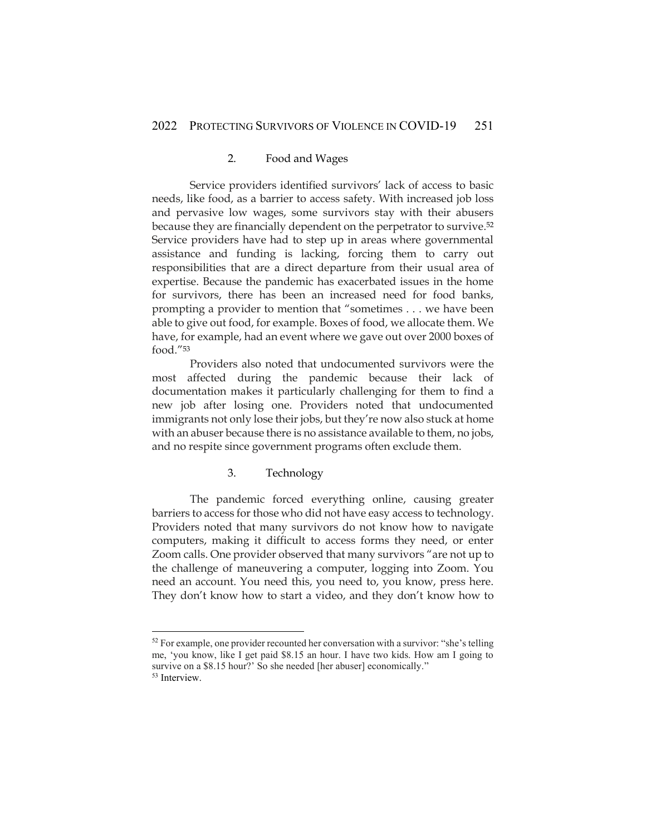#### 2. Food and Wages

Service providers identified survivors' lack of access to basic needs, like food, as a barrier to access safety. With increased job loss and pervasive low wages, some survivors stay with their abusers because they are financially dependent on the perpetrator to survive.<sup>52</sup> Service providers have had to step up in areas where governmental assistance and funding is lacking, forcing them to carry out responsibilities that are a direct departure from their usual area of expertise. Because the pandemic has exacerbated issues in the home for survivors, there has been an increased need for food banks, prompting a provider to mention that "sometimes . . . we have been able to give out food, for example. Boxes of food, we allocate them. We have, for example, had an event where we gave out over 2000 boxes of food."<sup>53</sup>

Providers also noted that undocumented survivors were the most affected during the pandemic because their lack of documentation makes it particularly challenging for them to find a new job after losing one. Providers noted that undocumented immigrants not only lose their jobs, but they're now also stuck at home with an abuser because there is no assistance available to them, no jobs, and no respite since government programs often exclude them.

## 3. Technology

The pandemic forced everything online, causing greater barriers to access for those who did not have easy access to technology. Providers noted that many survivors do not know how to navigate computers, making it difficult to access forms they need, or enter Zoom calls. One provider observed that many survivors "are not up to the challenge of maneuvering a computer, logging into Zoom. You need an account. You need this, you need to, you know, press here. They don't know how to start a video, and they don't know how to

<sup>&</sup>lt;sup>52</sup> For example, one provider recounted her conversation with a survivor: "she's telling me, 'you know, like I get paid \$8.15 an hour. I have two kids. How am I going to survive on a \$8.15 hour?' So she needed [her abuser] economically."

<sup>53</sup> Interview.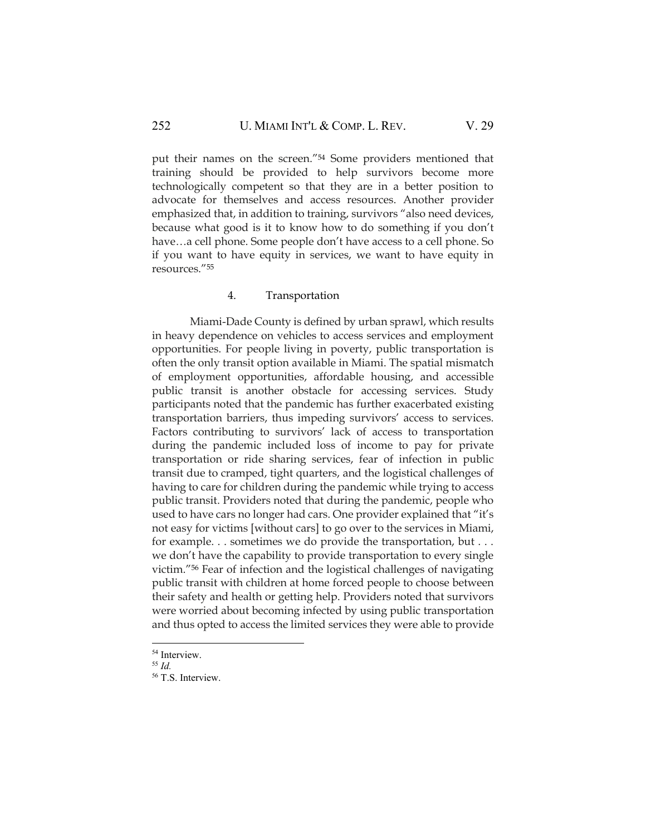put their names on the screen."<sup>54</sup> Some providers mentioned that training should be provided to help survivors become more technologically competent so that they are in a better position to advocate for themselves and access resources. Another provider emphasized that, in addition to training, survivors "also need devices, because what good is it to know how to do something if you don't have…a cell phone. Some people don't have access to a cell phone. So if you want to have equity in services, we want to have equity in resources."<sup>55</sup>

## 4. Transportation

Miami-Dade County is defined by urban sprawl, which results in heavy dependence on vehicles to access services and employment opportunities. For people living in poverty, public transportation is often the only transit option available in Miami. The spatial mismatch of employment opportunities, affordable housing, and accessible public transit is another obstacle for accessing services. Study participants noted that the pandemic has further exacerbated existing transportation barriers, thus impeding survivors' access to services. Factors contributing to survivors' lack of access to transportation during the pandemic included loss of income to pay for private transportation or ride sharing services, fear of infection in public transit due to cramped, tight quarters, and the logistical challenges of having to care for children during the pandemic while trying to access public transit. Providers noted that during the pandemic, people who used to have cars no longer had cars. One provider explained that "it's not easy for victims [without cars] to go over to the services in Miami, for example. . . sometimes we do provide the transportation, but . . . we don't have the capability to provide transportation to every single victim."<sup>56</sup> Fear of infection and the logistical challenges of navigating public transit with children at home forced people to choose between their safety and health or getting help. Providers noted that survivors were worried about becoming infected by using public transportation and thus opted to access the limited services they were able to provide

<sup>&</sup>lt;sup>54</sup> Interview.

<sup>55</sup> *Id.*

<sup>56</sup> T.S. Interview.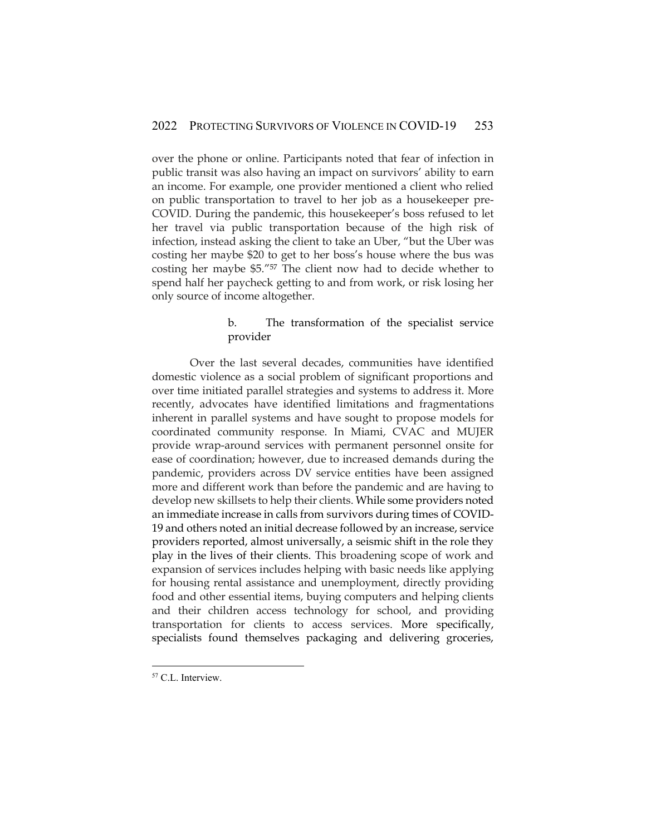over the phone or online. Participants noted that fear of infection in public transit was also having an impact on survivors' ability to earn an income. For example, one provider mentioned a client who relied on public transportation to travel to her job as a housekeeper pre-COVID. During the pandemic, this housekeeper's boss refused to let her travel via public transportation because of the high risk of infection, instead asking the client to take an Uber, "but the Uber was costing her maybe \$20 to get to her boss's house where the bus was costing her maybe \$5."<sup>57</sup> The client now had to decide whether to spend half her paycheck getting to and from work, or risk losing her only source of income altogether.

## b. The transformation of the specialist service provider

Over the last several decades, communities have identified domestic violence as a social problem of significant proportions and over time initiated parallel strategies and systems to address it. More recently, advocates have identified limitations and fragmentations inherent in parallel systems and have sought to propose models for coordinated community response. In Miami, CVAC and MUJER provide wrap-around services with permanent personnel onsite for ease of coordination; however, due to increased demands during the pandemic, providers across DV service entities have been assigned more and different work than before the pandemic and are having to develop new skillsets to help their clients. While some providers noted an immediate increase in calls from survivors during times of COVID-19 and others noted an initial decrease followed by an increase, service providers reported, almost universally, a seismic shift in the role they play in the lives of their clients. This broadening scope of work and expansion of services includes helping with basic needs like applying for housing rental assistance and unemployment, directly providing food and other essential items, buying computers and helping clients and their children access technology for school, and providing transportation for clients to access services. More specifically, specialists found themselves packaging and delivering groceries,

<sup>&</sup>lt;sup>57</sup> C.L. Interview.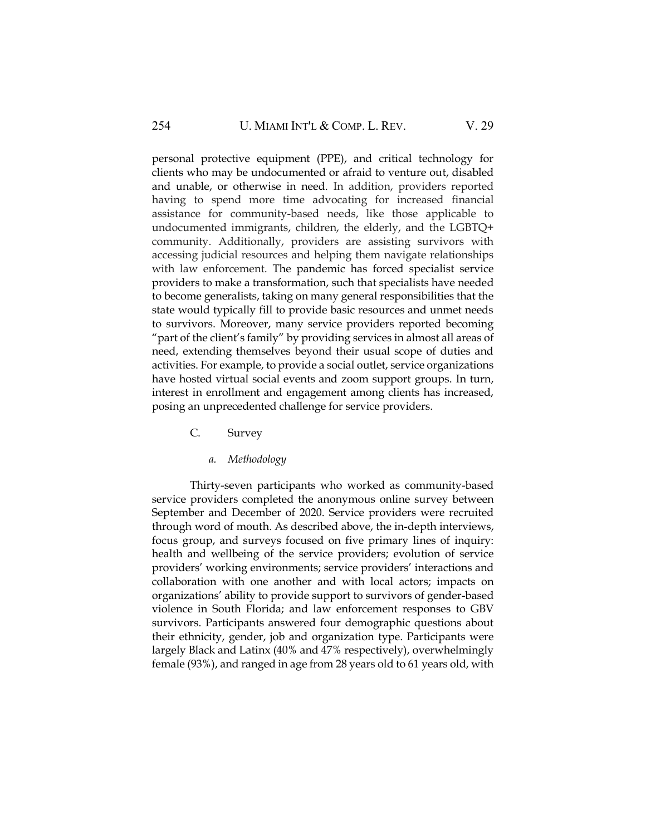personal protective equipment (PPE), and critical technology for clients who may be undocumented or afraid to venture out, disabled and unable, or otherwise in need. In addition, providers reported having to spend more time advocating for increased financial assistance for community-based needs, like those applicable to undocumented immigrants, children, the elderly, and the LGBTQ+ community. Additionally, providers are assisting survivors with accessing judicial resources and helping them navigate relationships with law enforcement. The pandemic has forced specialist service providers to make a transformation, such that specialists have needed to become generalists, taking on many general responsibilities that the state would typically fill to provide basic resources and unmet needs to survivors. Moreover, many service providers reported becoming "part of the client's family" by providing services in almost all areas of need, extending themselves beyond their usual scope of duties and activities. For example, to provide a social outlet, service organizations have hosted virtual social events and zoom support groups. In turn, interest in enrollment and engagement among clients has increased, posing an unprecedented challenge for service providers.

- C. Survey
	- *a. Methodology*

Thirty-seven participants who worked as community-based service providers completed the anonymous online survey between September and December of 2020. Service providers were recruited through word of mouth. As described above, the in-depth interviews, focus group, and surveys focused on five primary lines of inquiry: health and wellbeing of the service providers; evolution of service providers' working environments; service providers' interactions and collaboration with one another and with local actors; impacts on organizations' ability to provide support to survivors of gender-based violence in South Florida; and law enforcement responses to GBV survivors. Participants answered four demographic questions about their ethnicity, gender, job and organization type. Participants were largely Black and Latinx (40% and 47% respectively), overwhelmingly female (93%), and ranged in age from 28 years old to 61 years old, with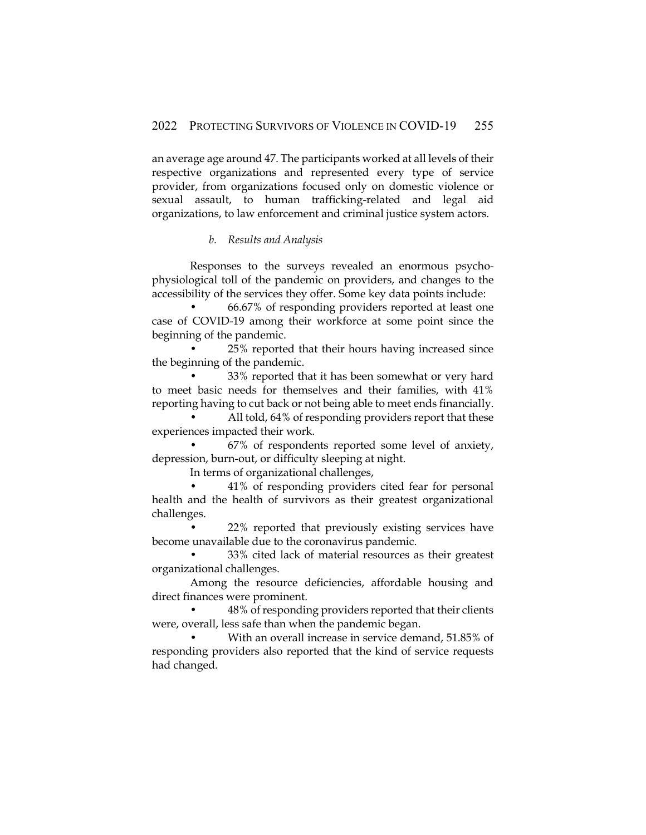an average age around 47. The participants worked at all levels of their respective organizations and represented every type of service provider, from organizations focused only on domestic violence or sexual assault, to human trafficking-related and legal aid organizations, to law enforcement and criminal justice system actors.

## *b. Results and Analysis*

Responses to the surveys revealed an enormous psychophysiological toll of the pandemic on providers, and changes to the accessibility of the services they offer. Some key data points include:

• 66.67% of responding providers reported at least one case of COVID-19 among their workforce at some point since the beginning of the pandemic.

• 25% reported that their hours having increased since the beginning of the pandemic.

• 33% reported that it has been somewhat or very hard to meet basic needs for themselves and their families, with 41% reporting having to cut back or not being able to meet ends financially.

All told, 64% of responding providers report that these experiences impacted their work.

• 67% of respondents reported some level of anxiety, depression, burn-out, or difficulty sleeping at night.

In terms of organizational challenges,

• 41% of responding providers cited fear for personal health and the health of survivors as their greatest organizational challenges.

• 22% reported that previously existing services have become unavailable due to the coronavirus pandemic.

• 33% cited lack of material resources as their greatest organizational challenges.

Among the resource deficiencies, affordable housing and direct finances were prominent.

• 48% of responding providers reported that their clients were, overall, less safe than when the pandemic began.

• With an overall increase in service demand, 51.85% of responding providers also reported that the kind of service requests had changed.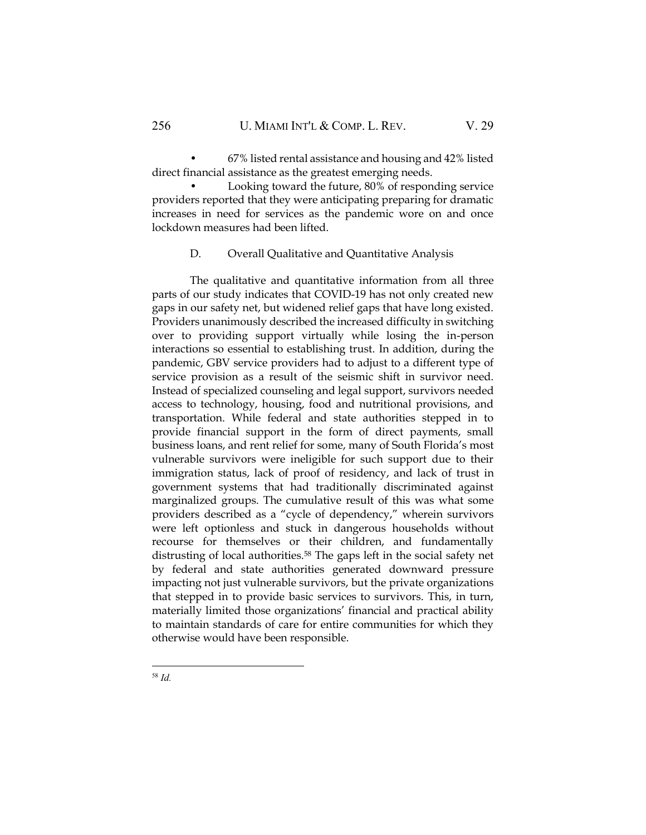• 67% listed rental assistance and housing and 42% listed direct financial assistance as the greatest emerging needs.

• Looking toward the future, 80% of responding service providers reported that they were anticipating preparing for dramatic increases in need for services as the pandemic wore on and once lockdown measures had been lifted.

## D. Overall Qualitative and Quantitative Analysis

The qualitative and quantitative information from all three parts of our study indicates that COVID-19 has not only created new gaps in our safety net, but widened relief gaps that have long existed. Providers unanimously described the increased difficulty in switching over to providing support virtually while losing the in-person interactions so essential to establishing trust. In addition, during the pandemic, GBV service providers had to adjust to a different type of service provision as a result of the seismic shift in survivor need. Instead of specialized counseling and legal support, survivors needed access to technology, housing, food and nutritional provisions, and transportation. While federal and state authorities stepped in to provide financial support in the form of direct payments, small business loans, and rent relief for some, many of South Florida's most vulnerable survivors were ineligible for such support due to their immigration status, lack of proof of residency, and lack of trust in government systems that had traditionally discriminated against marginalized groups. The cumulative result of this was what some providers described as a "cycle of dependency," wherein survivors were left optionless and stuck in dangerous households without recourse for themselves or their children, and fundamentally distrusting of local authorities.<sup>58</sup> The gaps left in the social safety net by federal and state authorities generated downward pressure impacting not just vulnerable survivors, but the private organizations that stepped in to provide basic services to survivors. This, in turn, materially limited those organizations' financial and practical ability to maintain standards of care for entire communities for which they otherwise would have been responsible.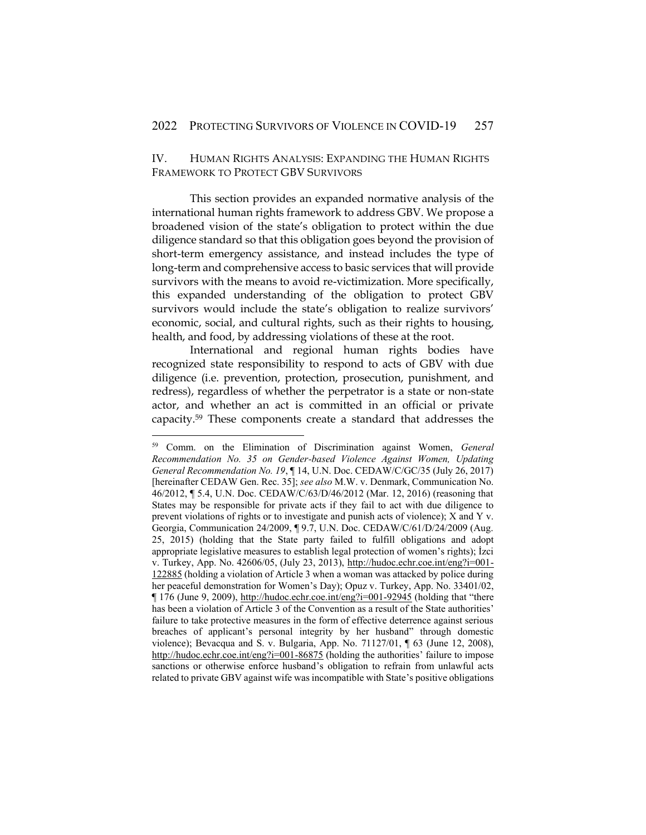## IV. HUMAN RIGHTS ANALYSIS: EXPANDING THE HUMAN RIGHTS FRAMEWORK TO PROTECT GBV SURVIVORS

This section provides an expanded normative analysis of the international human rights framework to address GBV. We propose a broadened vision of the state's obligation to protect within the due diligence standard so that this obligation goes beyond the provision of short-term emergency assistance, and instead includes the type of long-term and comprehensive access to basic services that will provide survivors with the means to avoid re-victimization. More specifically, this expanded understanding of the obligation to protect GBV survivors would include the state's obligation to realize survivors' economic, social, and cultural rights, such as their rights to housing, health, and food, by addressing violations of these at the root.

International and regional human rights bodies have recognized state responsibility to respond to acts of GBV with due diligence (i.e. prevention, protection, prosecution, punishment, and redress), regardless of whether the perpetrator is a state or non-state actor, and whether an act is committed in an official or private capacity.<sup>59</sup> These components create a standard that addresses the

<sup>59</sup> Comm. on the Elimination of Discrimination against Women, *General Recommendation No. 35 on Gender-based Violence Against Women, Updating General Recommendation No. 19*, ¶ 14, U.N. Doc. CEDAW/C/GC/35 (July 26, 2017) [hereinafter CEDAW Gen. Rec. 35]; *see also* M.W. v. Denmark, Communication No. 46/2012, ¶ 5.4, U.N. Doc. CEDAW/C/63/D/46/2012 (Mar. 12, 2016) (reasoning that States may be responsible for private acts if they fail to act with due diligence to prevent violations of rights or to investigate and punish acts of violence); X and Y v. Georgia, Communication 24/2009, ¶ 9.7, U.N. Doc. CEDAW/C/61/D/24/2009 (Aug. 25, 2015) (holding that the State party failed to fulfill obligations and adopt appropriate legislative measures to establish legal protection of women's rights); İzci v. Turkey, App. No. 42606/05, (July 23, 2013), [http://hudoc.echr.coe.int/eng?i=001-](http://hudoc.echr.coe.int/eng?i=001-122885) [122885](http://hudoc.echr.coe.int/eng?i=001-122885) (holding a violation of Article 3 when a woman was attacked by police during her peaceful demonstration for Women's Day); Opuz v. Turkey, App. No. 33401/02, ¶ 176 (June 9, 2009),<http://hudoc.echr.coe.int/eng?i=001-92945> (holding that "there has been a violation of Article 3 of the Convention as a result of the State authorities' failure to take protective measures in the form of effective deterrence against serious breaches of applicant's personal integrity by her husband" through domestic violence); Bevacqua and S. v. Bulgaria, App. No. 71127/01, ¶ 63 (June 12, 2008), <http://hudoc.echr.coe.int/eng?i=001-86875> (holding the authorities' failure to impose sanctions or otherwise enforce husband's obligation to refrain from unlawful acts related to private GBV against wife was incompatible with State's positive obligations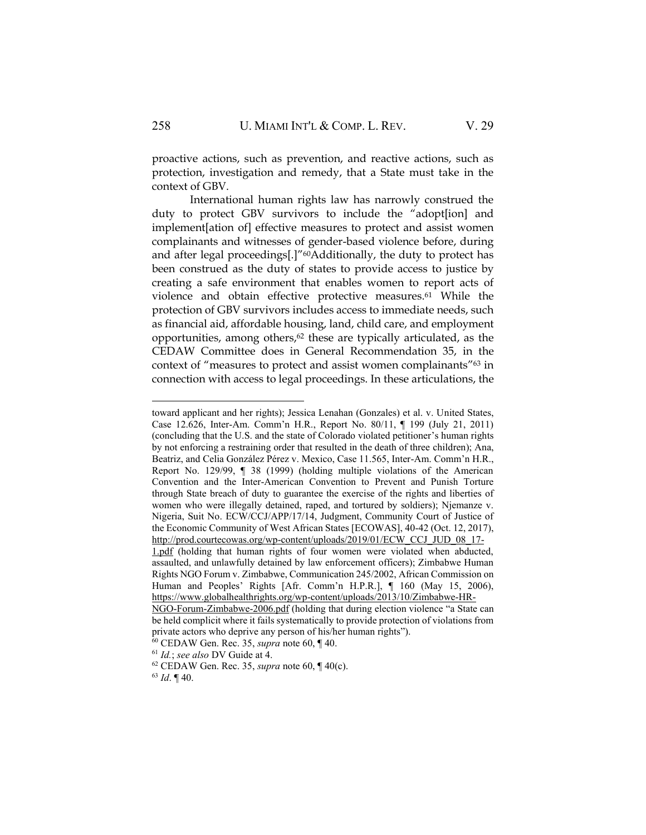proactive actions, such as prevention, and reactive actions, such as protection, investigation and remedy, that a State must take in the context of GBV.

International human rights law has narrowly construed the duty to protect GBV survivors to include the "adopt[ion] and implement[ation of] effective measures to protect and assist women complainants and witnesses of gender-based violence before, during and after legal proceedings[.]"<sup>60</sup>Additionally, the duty to protect has been construed as the duty of states to provide access to justice by creating a safe environment that enables women to report acts of violence and obtain effective protective measures.<sup>61</sup> While the protection of GBV survivors includes access to immediate needs, such as financial aid, affordable housing, land, child care, and employment opportunities, among others, $62$  these are typically articulated, as the CEDAW Committee does in General Recommendation 35, in the context of "measures to protect and assist women complainants"<sup>63</sup> in connection with access to legal proceedings. In these articulations, the

<sup>63</sup> *Id*. ¶ 40.

toward applicant and her rights); Jessica Lenahan (Gonzales) et al. v. United States, Case 12.626, Inter-Am. Comm'n H.R., Report No. 80/11, ¶ 199 (July 21, 2011) (concluding that the U.S. and the state of Colorado violated petitioner's human rights by not enforcing a restraining order that resulted in the death of three children); Ana, Beatriz, and Celia González Pérez v. Mexico, Case 11.565, Inter-Am. Comm'n H.R., Report No. 129/99, ¶ 38 (1999) (holding multiple violations of the American Convention and the Inter-American Convention to Prevent and Punish Torture through State breach of duty to guarantee the exercise of the rights and liberties of women who were illegally detained, raped, and tortured by soldiers); Njemanze v. Nigeria, Suit No. ECW/CCJ/APP/17/14, Judgment, Community Court of Justice of the Economic Community of West African States [ECOWAS], 40-42 (Oct. 12, 2017), [http://prod.courtecowas.org/wp-content/uploads/2019/01/ECW\\_CCJ\\_JUD\\_08\\_17-](http://prod.courtecowas.org/wp-content/uploads/2019/01/ECW_CCJ_JUD_08_17-1.pdf)

[<sup>1.</sup>pdf](http://prod.courtecowas.org/wp-content/uploads/2019/01/ECW_CCJ_JUD_08_17-1.pdf) (holding that human rights of four women were violated when abducted, assaulted, and unlawfully detained by law enforcement officers); Zimbabwe Human Rights NGO Forum v. Zimbabwe, Communication 245/2002, African Commission on Human and Peoples' Rights [Afr. Comm'n H.P.R.], ¶ 160 (May 15, 2006), [https://www.globalhealthrights.org/wp-content/uploads/2013/10/Zimbabwe-HR-](https://www.globalhealthrights.org/wp-content/uploads/2013/10/Zimbabwe-HR-NGO-Forum-Zimbabwe-2006.pdf)

[NGO-Forum-Zimbabwe-2006.pdf](https://www.globalhealthrights.org/wp-content/uploads/2013/10/Zimbabwe-HR-NGO-Forum-Zimbabwe-2006.pdf) (holding that during election violence "a State can be held complicit where it fails systematically to provide protection of violations from private actors who deprive any person of his/her human rights").

<sup>60</sup> CEDAW Gen. Rec. 35, *supra* note 60, ¶ 40.

<sup>61</sup> *Id.*; *see also* DV Guide at 4.

<sup>62</sup> CEDAW Gen. Rec. 35, *supra* note 60, ¶ 40(c).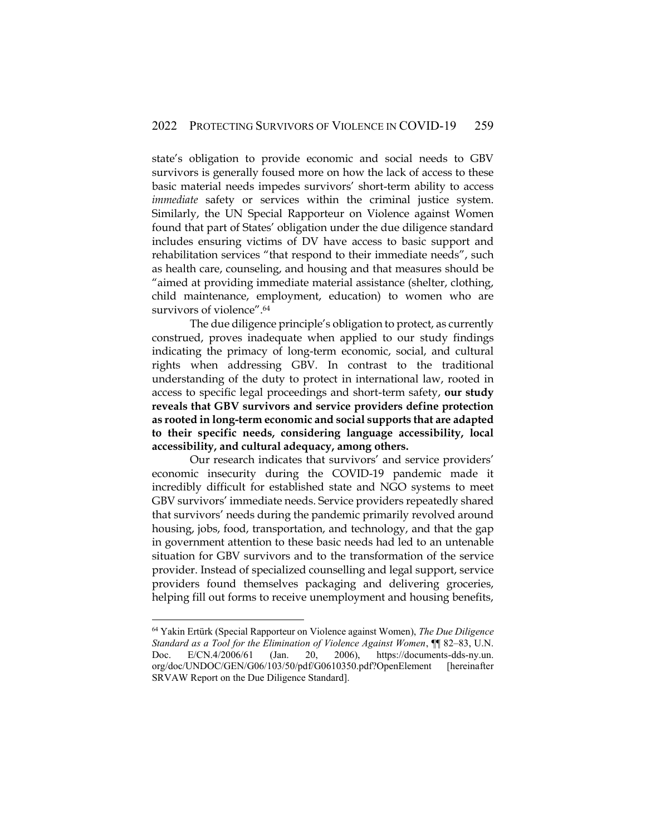state's obligation to provide economic and social needs to GBV survivors is generally foused more on how the lack of access to these basic material needs impedes survivors' short-term ability to access *immediate* safety or services within the criminal justice system. Similarly, the UN Special Rapporteur on Violence against Women found that part of States' obligation under the due diligence standard includes ensuring victims of DV have access to basic support and rehabilitation services "that respond to their immediate needs", such as health care, counseling, and housing and that measures should be "aimed at providing immediate material assistance (shelter, clothing, child maintenance, employment, education) to women who are survivors of violence". 64

The due diligence principle's obligation to protect, as currently construed, proves inadequate when applied to our study findings indicating the primacy of long-term economic, social, and cultural rights when addressing GBV. In contrast to the traditional understanding of the duty to protect in international law, rooted in access to specific legal proceedings and short-term safety, **our study reveals that GBV survivors and service providers define protection as rooted in long-term economic and social supports that are adapted to their specific needs, considering language accessibility, local accessibility, and cultural adequacy, among others.**

Our research indicates that survivors' and service providers' economic insecurity during the COVID-19 pandemic made it incredibly difficult for established state and NGO systems to meet GBV survivors' immediate needs. Service providers repeatedly shared that survivors' needs during the pandemic primarily revolved around housing, jobs, food, transportation, and technology, and that the gap in government attention to these basic needs had led to an untenable situation for GBV survivors and to the transformation of the service provider. Instead of specialized counselling and legal support, service providers found themselves packaging and delivering groceries, helping fill out forms to receive unemployment and housing benefits,

<sup>64</sup> Yakin Ertürk (Special Rapporteur on Violence against Women), *The Due Diligence Standard as a Tool for the Elimination of Violence Against Women*, ¶¶ 82–83, U.N. Doc. E/CN.4/2006/61 (Jan. 20, 2006), https://documents-dds-ny.un. org/doc/UNDOC/GEN/G06/103/50/pdf/G0610350.pdf?OpenElement [hereinafter SRVAW Report on the Due Diligence Standard].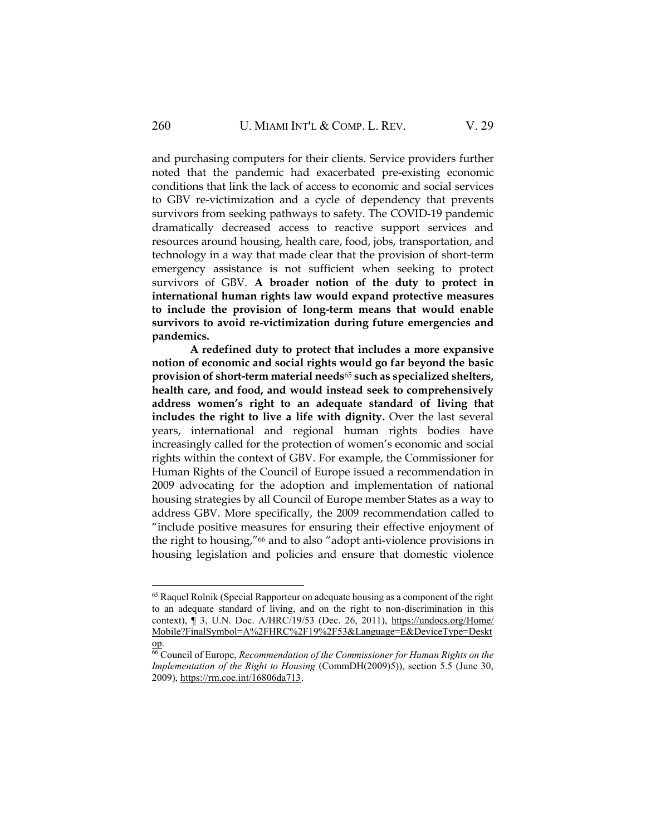and purchasing computers for their clients. Service providers further noted that the pandemic had exacerbated pre-existing economic conditions that link the lack of access to economic and social services to GBV re-victimization and a cycle of dependency that prevents survivors from seeking pathways to safety. The COVID-19 pandemic dramatically decreased access to reactive support services and resources around housing, health care, food, jobs, transportation, and technology in a way that made clear that the provision of short-term emergency assistance is not sufficient when seeking to protect survivors of GBV. **A broader notion of the duty to protect in international human rights law would expand protective measures to include the provision of long-term means that would enable survivors to avoid re-victimization during future emergencies and pandemics.**

**A redefined duty to protect that includes a more expansive notion of economic and social rights would go far beyond the basic provision of short-term material needs**<sup>65</sup> **such as specialized shelters, health care, and food, and would instead seek to comprehensively address women's right to an adequate standard of living that includes the right to live a life with dignity.** Over the last several years, international and regional human rights bodies have increasingly called for the protection of women's economic and social rights within the context of GBV. For example, the Commissioner for Human Rights of the Council of Europe issued a recommendation in 2009 advocating for the adoption and implementation of national housing strategies by all Council of Europe member States as a way to address GBV. More specifically, the 2009 recommendation called to "include positive measures for ensuring their effective enjoyment of the right to housing,"<sup>66</sup> and to also "adopt anti-violence provisions in housing legislation and policies and ensure that domestic violence

<sup>&</sup>lt;sup>65</sup> Raquel Rolnik (Special Rapporteur on adequate housing as a component of the right to an adequate standard of living, and on the right to non-discrimination in this context), ¶ 3, U.N. Doc. A/HRC/19/53 (Dec. 26, 2011), [https://undocs.org/Home/](https://undocs.org/‌Home/‌Mobile?FinalSymbol=A%2FHRC%2F19%2F53&Language=E&DeviceType=Desktop) [Mobile?FinalSymbol=A%2FHRC%2F19%2F53&Language=E&DeviceType=Deskt](https://undocs.org/‌Home/‌Mobile?FinalSymbol=A%2FHRC%2F19%2F53&Language=E&DeviceType=Desktop) [op.](https://undocs.org/‌Home/‌Mobile?FinalSymbol=A%2FHRC%2F19%2F53&Language=E&DeviceType=Desktop)

<sup>66</sup> Council of Europe, *Recommendation of the Commissioner for Human Rights on the Implementation of the Right to Housing* (CommDH(2009)5)), section 5.5 (June 30, 2009), [https://rm.coe.int/16806da713.](https://rm.coe.int/16806da713)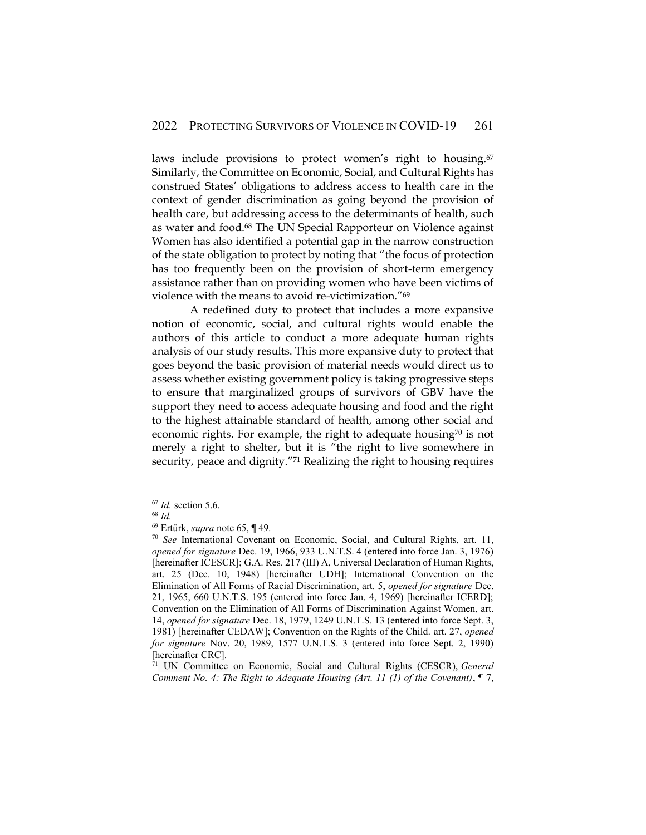laws include provisions to protect women's right to housing.<sup>67</sup> Similarly, the Committee on Economic, Social, and Cultural Rights has construed States' obligations to address access to health care in the context of gender discrimination as going beyond the provision of health care, but addressing access to the determinants of health, such as water and food.<sup>68</sup> The UN Special Rapporteur on Violence against Women has also identified a potential gap in the narrow construction of the state obligation to protect by noting that "the focus of protection has too frequently been on the provision of short-term emergency assistance rather than on providing women who have been victims of violence with the means to avoid re-victimization."<sup>69</sup>

A redefined duty to protect that includes a more expansive notion of economic, social, and cultural rights would enable the authors of this article to conduct a more adequate human rights analysis of our study results. This more expansive duty to protect that goes beyond the basic provision of material needs would direct us to assess whether existing government policy is taking progressive steps to ensure that marginalized groups of survivors of GBV have the support they need to access adequate housing and food and the right to the highest attainable standard of health, among other social and economic rights. For example, the right to adequate housing $70$  is not merely a right to shelter, but it is "the right to live somewhere in security, peace and dignity."<sup>71</sup> Realizing the right to housing requires

<sup>67</sup> *Id.* section 5.6.

<sup>68</sup> *Id.*

<sup>69</sup> Ertürk, *supra* note 65, ¶ 49.

<sup>70</sup> *See* International Covenant on Economic, Social, and Cultural Rights, art. 11, *opened for signature* Dec. 19, 1966, 933 U.N.T.S. 4 (entered into force Jan. 3, 1976) [hereinafter ICESCR]; G.A. Res. 217 (III) A, Universal Declaration of Human Rights, art. 25 (Dec. 10, 1948) [hereinafter UDH]; International Convention on the Elimination of All Forms of Racial Discrimination, art. 5, *opened for signature* Dec. 21, 1965, 660 U.N.T.S. 195 (entered into force Jan. 4, 1969) [hereinafter ICERD]; Convention on the Elimination of All Forms of Discrimination Against Women, art. 14, *opened for signature* Dec. 18, 1979, 1249 U.N.T.S. 13 (entered into force Sept. 3, 1981) [hereinafter CEDAW]; Convention on the Rights of the Child. art. 27, *opened for signature* Nov. 20, 1989, 1577 U.N.T.S. 3 (entered into force Sept. 2, 1990) [hereinafter CRC].

<sup>71</sup> UN Committee on Economic, Social and Cultural Rights (CESCR), *General Comment No. 4: The Right to Adequate Housing (Art. 11 (1) of the Covenant)*, ¶ 7,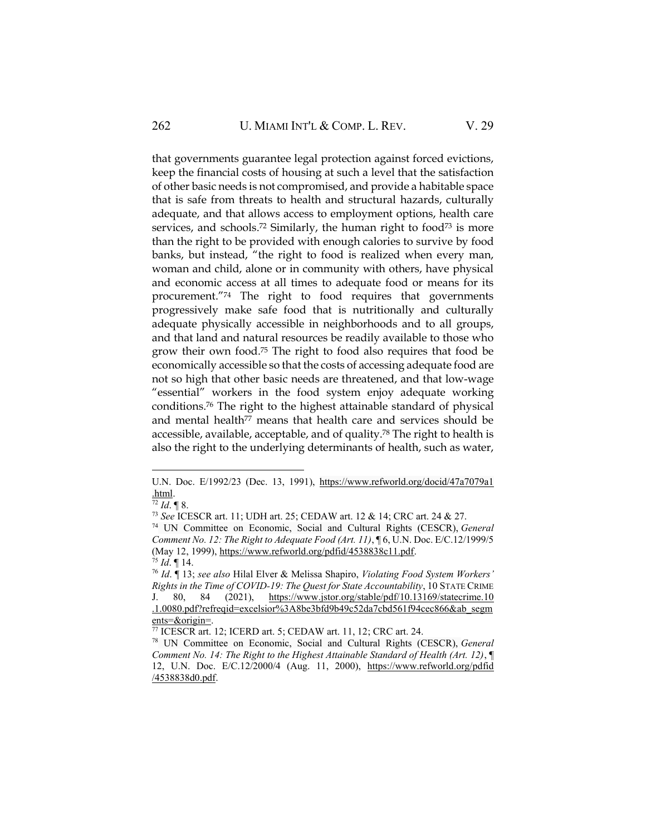that governments guarantee legal protection against forced evictions, keep the financial costs of housing at such a level that the satisfaction of other basic needs is not compromised, and provide a habitable space that is safe from threats to health and structural hazards, culturally adequate, and that allows access to employment options, health care services, and schools.<sup>72</sup> Similarly, the human right to food<sup>73</sup> is more than the right to be provided with enough calories to survive by food banks, but instead, "the right to food is realized when every man, woman and child, alone or in community with others, have physical and economic access at all times to adequate food or means for its procurement."<sup>74</sup> The right to food requires that governments progressively make safe food that is nutritionally and culturally adequate physically accessible in neighborhoods and to all groups, and that land and natural resources be readily available to those who grow their own food. <sup>75</sup> The right to food also requires that food be economically accessible so that the costs of accessing adequate food are not so high that other basic needs are threatened, and that low-wage "essential" workers in the food system enjoy adequate working conditions. <sup>76</sup> The right to the highest attainable standard of physical and mental health<sup>77</sup> means that health care and services should be accessible, available, acceptable, and of quality.<sup>78</sup> The right to health is also the right to the underlying determinants of health, such as water,

U.N. Doc. E/1992/23 (Dec. 13, 1991), [https://www.refworld.org/docid/47a7079a1](https://www.refworld.org/docid/47a7079a1.html) [.html.](https://www.refworld.org/docid/47a7079a1.html)

 $\frac{72}{12}$  *Id.* 1 8.

<sup>73</sup> *See* ICESCR art. 11; UDH art. 25; CEDAW art. 12 & 14; CRC art. 24 & 27.

<sup>74</sup> UN Committee on Economic, Social and Cultural Rights (CESCR), *General Comment No. 12: The Right to Adequate Food (Art. 11)*, ¶ 6, U.N. Doc. E/C.12/1999/5 (May 12, 1999), [https://www.refworld.org/pdfid/4538838c11.pdf.](https://www.refworld.org/pdfid/4538838c11.pdf)

<sup>75</sup> *Id*. ¶ 14.

<sup>76</sup> *Id*. ¶ 13; *see also* Hilal Elver & Melissa Shapiro, *Violating Food System Workers' Rights in the Time of COVID-19: The Quest for State Accountability*, 10 STATE CRIME J. 80, 84 (2021), [https://www.jstor.org/stable/pdf/10.13169/statecrime.10](https://www.jstor.org/stable/pdf/‌10.13169/statecrime.‌10‌.1.0080.pdf?refreqid=excelsior%3A8be3bfd9b49c52da7cbd561f94cec866&ab_segments=&origin=) [.1.0080.pdf?refreqid=excelsior%3A8be3bfd9b49c52da7cbd561f94cec866&ab\\_segm](https://www.jstor.org/stable/pdf/‌10.13169/statecrime.‌10‌.1.0080.pdf?refreqid=excelsior%3A8be3bfd9b49c52da7cbd561f94cec866&ab_segments=&origin=) [ents=&origin=.](https://www.jstor.org/stable/pdf/‌10.13169/statecrime.‌10‌.1.0080.pdf?refreqid=excelsior%3A8be3bfd9b49c52da7cbd561f94cec866&ab_segments=&origin=)

<sup>77</sup> ICESCR art. 12; ICERD art. 5; CEDAW art. 11, 12; CRC art. 24.

<sup>78</sup> UN Committee on Economic, Social and Cultural Rights (CESCR), *General Comment No. 14: The Right to the Highest Attainable Standard of Health (Art. 12)*, ¶ 12, U.N. Doc. E/C.12/2000/4 (Aug. 11, 2000), [https://www.refworld.org/pdfid](https://www.refworld.org/pdfid/4538838d0.pdf) [/4538838d0.pdf.](https://www.refworld.org/pdfid/4538838d0.pdf)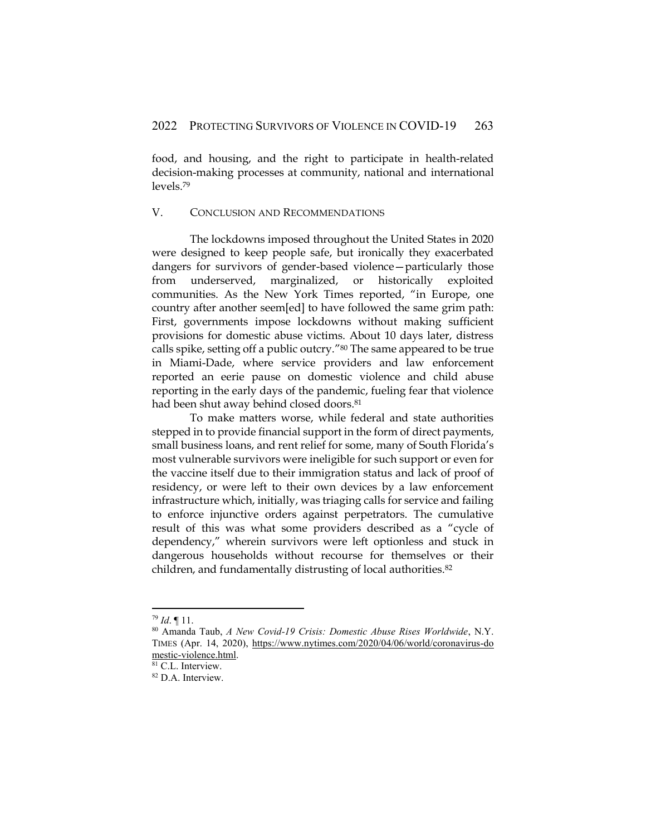food, and housing, and the right to participate in health-related decision-making processes at community, national and international levels.<sup>79</sup>

#### V. CONCLUSION AND RECOMMENDATIONS

The lockdowns imposed throughout the United States in 2020 were designed to keep people safe, but ironically they exacerbated dangers for survivors of gender-based violence—particularly those from underserved, marginalized, or historically exploited communities. As the New York Times reported, "in Europe, one country after another seem[ed] to have followed the same grim path: First, governments impose lockdowns without making sufficient provisions for domestic abuse victims. About 10 days later, distress calls spike, setting off a public outcry."<sup>80</sup> The same appeared to be true in Miami-Dade, where service providers and law enforcement reported an eerie pause on domestic violence and child abuse reporting in the early days of the pandemic, fueling fear that violence had been shut away behind closed doors.<sup>81</sup>

To make matters worse, while federal and state authorities stepped in to provide financial support in the form of direct payments, small business loans, and rent relief for some, many of South Florida's most vulnerable survivors were ineligible for such support or even for the vaccine itself due to their immigration status and lack of proof of residency, or were left to their own devices by a law enforcement infrastructure which, initially, was triaging calls for service and failing to enforce injunctive orders against perpetrators. The cumulative result of this was what some providers described as a "cycle of dependency," wherein survivors were left optionless and stuck in dangerous households without recourse for themselves or their children, and fundamentally distrusting of local authorities.<sup>82</sup>

<sup>79</sup> *Id*. ¶ 11.

<sup>80</sup> Amanda Taub, *A New Covid-19 Crisis: Domestic Abuse Rises Worldwide*, N.Y. TIMES (Apr. 14, 2020), [https://www.nytimes.com/2020/04/06/world/coronavirus-do](https://www.nytimes.com/2020/04/06/world/coronavirus-domestic-violence.html) [mestic-violence.html.](https://www.nytimes.com/2020/04/06/world/coronavirus-domestic-violence.html)

<sup>&</sup>lt;sup>81</sup> C.L. Interview.

<sup>&</sup>lt;sup>82</sup> D.A. Interview.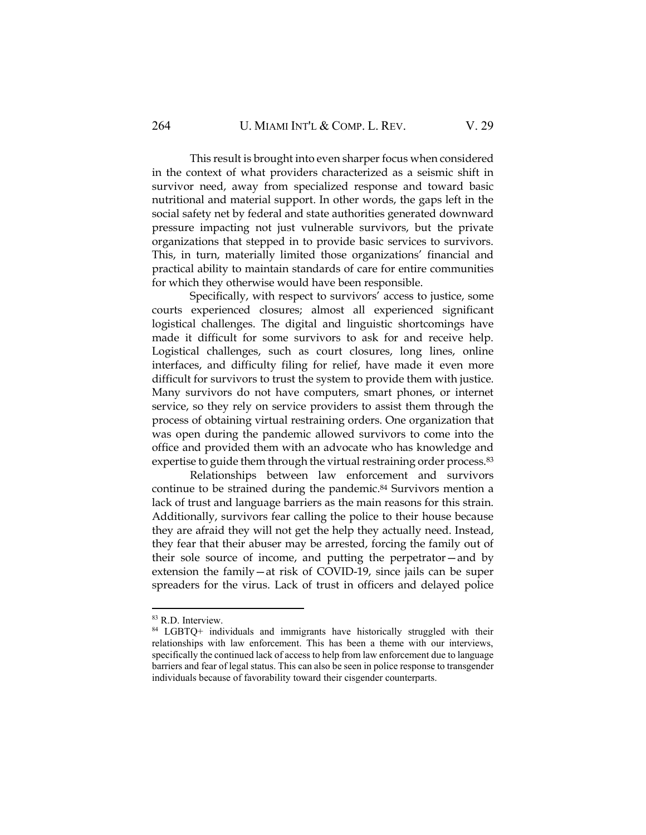This result is brought into even sharper focus when considered in the context of what providers characterized as a seismic shift in survivor need, away from specialized response and toward basic nutritional and material support. In other words, the gaps left in the social safety net by federal and state authorities generated downward pressure impacting not just vulnerable survivors, but the private organizations that stepped in to provide basic services to survivors. This, in turn, materially limited those organizations' financial and practical ability to maintain standards of care for entire communities for which they otherwise would have been responsible.

Specifically, with respect to survivors' access to justice, some courts experienced closures; almost all experienced significant logistical challenges. The digital and linguistic shortcomings have made it difficult for some survivors to ask for and receive help. Logistical challenges, such as court closures, long lines, online interfaces, and difficulty filing for relief, have made it even more difficult for survivors to trust the system to provide them with justice. Many survivors do not have computers, smart phones, or internet service, so they rely on service providers to assist them through the process of obtaining virtual restraining orders. One organization that was open during the pandemic allowed survivors to come into the office and provided them with an advocate who has knowledge and expertise to guide them through the virtual restraining order process.<sup>83</sup>

Relationships between law enforcement and survivors continue to be strained during the pandemic.<sup>84</sup> Survivors mention a lack of trust and language barriers as the main reasons for this strain. Additionally, survivors fear calling the police to their house because they are afraid they will not get the help they actually need. Instead, they fear that their abuser may be arrested, forcing the family out of their sole source of income, and putting the perpetrator—and by extension the family—at risk of COVID-19, since jails can be super spreaders for the virus. Lack of trust in officers and delayed police

<sup>83</sup> R.D. Interview.

<sup>84</sup> LGBTQ+ individuals and immigrants have historically struggled with their relationships with law enforcement. This has been a theme with our interviews, specifically the continued lack of access to help from law enforcement due to language barriers and fear of legal status. This can also be seen in police response to transgender individuals because of favorability toward their cisgender counterparts.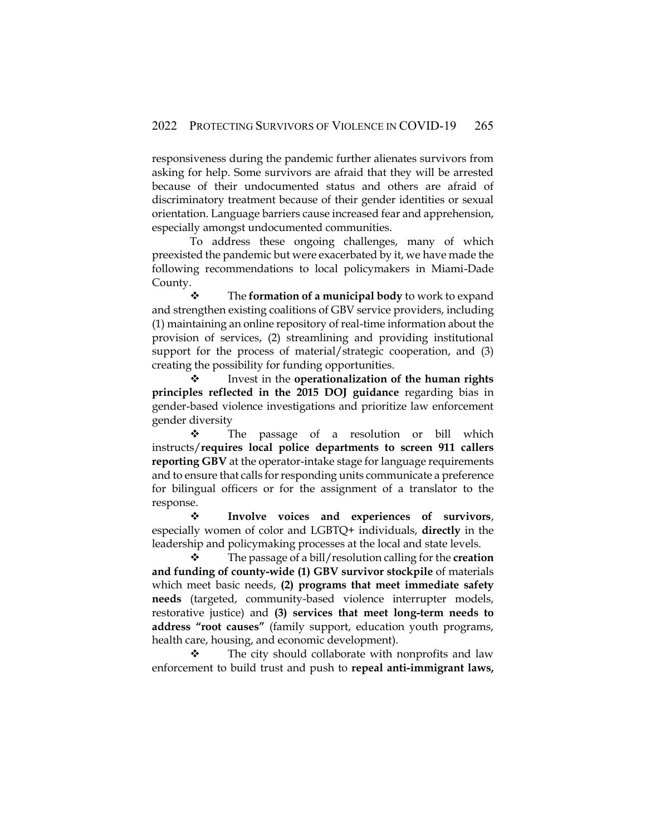responsiveness during the pandemic further alienates survivors from asking for help. Some survivors are afraid that they will be arrested because of their undocumented status and others are afraid of discriminatory treatment because of their gender identities or sexual orientation. Language barriers cause increased fear and apprehension, especially amongst undocumented communities.

To address these ongoing challenges, many of which preexisted the pandemic but were exacerbated by it, we have made the following recommendations to local policymakers in Miami-Dade County.

❖ The **formation of a municipal body** to work to expand and strengthen existing coalitions of GBV service providers, including (1) maintaining an online repository of real-time information about the provision of services, (2) streamlining and providing institutional support for the process of material/strategic cooperation, and (3) creating the possibility for funding opportunities.

❖ Invest in the **operationalization of the human rights principles reflected in the 2015 DOJ guidance** regarding bias in gender-based violence investigations and prioritize law enforcement gender diversity

❖ The passage of a resolution or bill which instructs/**requires local police departments to screen 911 callers reporting GBV** at the operator-intake stage for language requirements and to ensure that calls for responding units communicate a preference for bilingual officers or for the assignment of a translator to the response.

❖ **Involve voices and experiences of survivors**, especially women of color and LGBTQ+ individuals, **directly** in the leadership and policymaking processes at the local and state levels.

❖ The passage of a bill/resolution calling for the **creation and funding of county-wide (1) GBV survivor stockpile** of materials which meet basic needs, **(2) programs that meet immediate safety needs** (targeted, community-based violence interrupter models, restorative justice) and **(3) services that meet long-term needs to address "root causes"** (family support, education youth programs, health care, housing, and economic development).

The city should collaborate with nonprofits and law enforcement to build trust and push to **repeal anti-immigrant laws,**